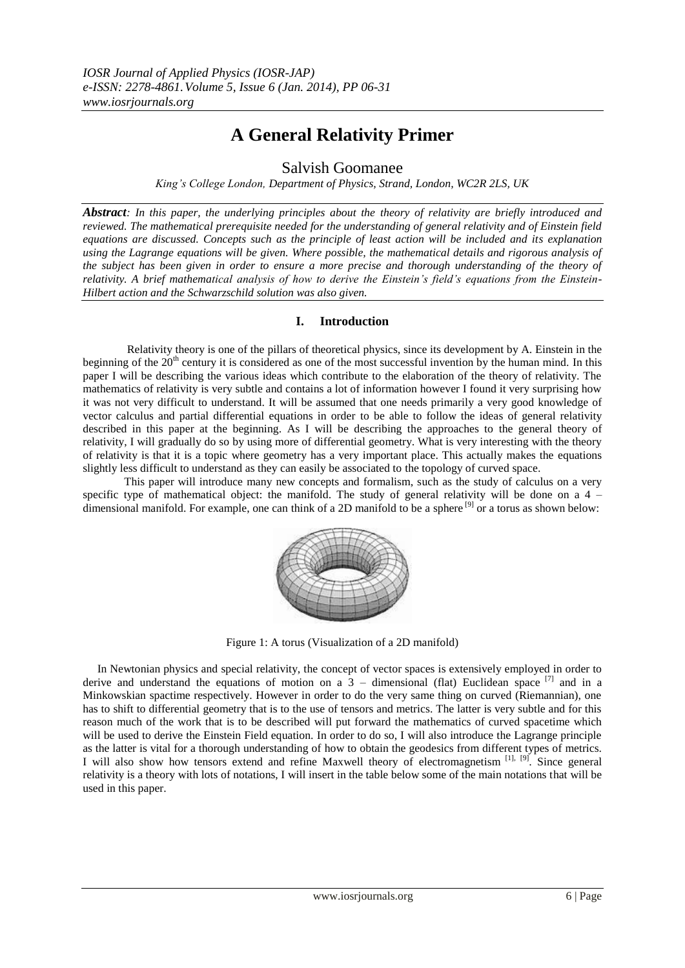# **A General Relativity Primer**

# Salvish Goomanee

*King's College London, Department of Physics, Strand, London, WC2R 2LS, UK*

*Abstract: In this paper, the underlying principles about the theory of relativity are briefly introduced and reviewed. The mathematical prerequisite needed for the understanding of general relativity and of Einstein field equations are discussed. Concepts such as the principle of least action will be included and its explanation using the Lagrange equations will be given. Where possible, the mathematical details and rigorous analysis of the subject has been given in order to ensure a more precise and thorough understanding of the theory of relativity. A brief mathematical analysis of how to derive the Einstein's field's equations from the Einstein-Hilbert action and the Schwarzschild solution was also given.*

# **I. Introduction**

 Relativity theory is one of the pillars of theoretical physics, since its development by A. Einstein in the beginning of the  $20<sup>th</sup>$  century it is considered as one of the most successful invention by the human mind. In this paper I will be describing the various ideas which contribute to the elaboration of the theory of relativity. The mathematics of relativity is very subtle and contains a lot of information however I found it very surprising how it was not very difficult to understand. It will be assumed that one needs primarily a very good knowledge of vector calculus and partial differential equations in order to be able to follow the ideas of general relativity described in this paper at the beginning. As I will be describing the approaches to the general theory of relativity, I will gradually do so by using more of differential geometry. What is very interesting with the theory of relativity is that it is a topic where geometry has a very important place. This actually makes the equations slightly less difficult to understand as they can easily be associated to the topology of curved space.

 This paper will introduce many new concepts and formalism, such as the study of calculus on a very specific type of mathematical object: the manifold. The study of general relativity will be done on a  $4$ dimensional manifold. For example, one can think of a 2D manifold to be a sphere <sup>[9]</sup> or a torus as shown below:



Figure 1: A torus (Visualization of a 2D manifold)

 In Newtonian physics and special relativity, the concept of vector spaces is extensively employed in order to derive and understand the equations of motion on a  $3$  – dimensional (flat) Euclidean space  $^{[7]}$  and in a Minkowskian spactime respectively. However in order to do the very same thing on curved (Riemannian), one has to shift to differential geometry that is to the use of tensors and metrics. The latter is very subtle and for this reason much of the work that is to be described will put forward the mathematics of curved spacetime which will be used to derive the Einstein Field equation. In order to do so, I will also introduce the Lagrange principle as the latter is vital for a thorough understanding of how to obtain the geodesics from different types of metrics. I will also show how tensors extend and refine Maxwell theory of electromagnetism [1], [9]. Since general relativity is a theory with lots of notations, I will insert in the table below some of the main notations that will be used in this paper.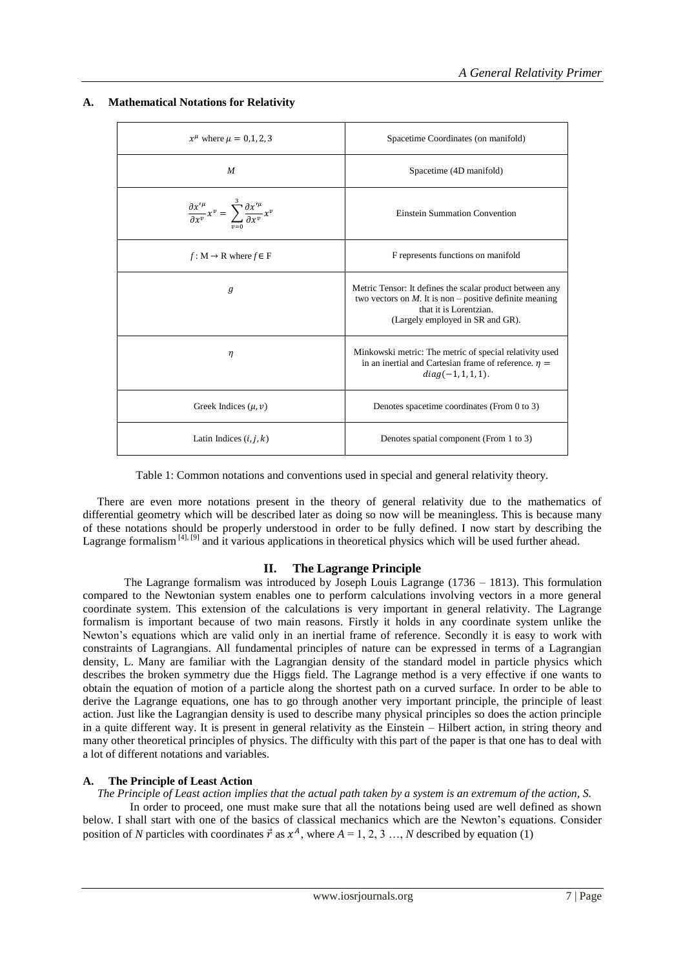| $x^{\mu}$ where $\mu = 0.1, 2, 3$                                                                                                    | Spacetime Coordinates (on manifold)                                                                                                                                                  |
|--------------------------------------------------------------------------------------------------------------------------------------|--------------------------------------------------------------------------------------------------------------------------------------------------------------------------------------|
| M                                                                                                                                    | Spacetime (4D manifold)                                                                                                                                                              |
| $\frac{\partial x^{\prime \mu}}{\partial x^{\nu}} x^{\nu} = \sum_{n=0}^{3} \frac{\partial x^{\prime \mu}}{\partial x^{\nu}} x^{\nu}$ | Einstein Summation Convention                                                                                                                                                        |
| $f: M \rightarrow R$ where $f \in F$                                                                                                 | F represents functions on manifold                                                                                                                                                   |
| $\mathfrak{g}$                                                                                                                       | Metric Tensor: It defines the scalar product between any<br>two vectors on $M$ . It is non – positive definite meaning<br>that it is Lorentzian.<br>(Largely employed in SR and GR). |
| η                                                                                                                                    | Minkowski metric: The metric of special relativity used<br>in an inertial and Cartesian frame of reference. $\eta$ =<br>$diag(-1, 1, 1, 1).$                                         |
| Greek Indices $(\mu, \nu)$                                                                                                           | Denotes spacetime coordinates (From 0 to 3)                                                                                                                                          |
| Latin Indices $(i, j, k)$                                                                                                            | Denotes spatial component (From 1 to 3)                                                                                                                                              |

# **A. Mathematical Notations for Relativity**

Table 1: Common notations and conventions used in special and general relativity theory.

 There are even more notations present in the theory of general relativity due to the mathematics of differential geometry which will be described later as doing so now will be meaningless. This is because many of these notations should be properly understood in order to be fully defined. I now start by describing the Lagrange formalism [4], [9] and it various applications in theoretical physics which will be used further ahead.

# **II. The Lagrange Principle**

 The Lagrange formalism was introduced by Joseph Louis Lagrange (1736 – 1813). This formulation compared to the Newtonian system enables one to perform calculations involving vectors in a more general coordinate system. This extension of the calculations is very important in general relativity. The Lagrange formalism is important because of two main reasons. Firstly it holds in any coordinate system unlike the Newton"s equations which are valid only in an inertial frame of reference. Secondly it is easy to work with constraints of Lagrangians. All fundamental principles of nature can be expressed in terms of a Lagrangian density, L. Many are familiar with the Lagrangian density of the standard model in particle physics which describes the broken symmetry due the Higgs field. The Lagrange method is a very effective if one wants to obtain the equation of motion of a particle along the shortest path on a curved surface. In order to be able to derive the Lagrange equations, one has to go through another very important principle, the principle of least action. Just like the Lagrangian density is used to describe many physical principles so does the action principle in a quite different way. It is present in general relativity as the Einstein – Hilbert action, in string theory and many other theoretical principles of physics. The difficulty with this part of the paper is that one has to deal with a lot of different notations and variables.

# **A. The Principle of Least Action**

 *The Principle of Least action implies that the actual path taken by a system is an extremum of the action, S.* 

 In order to proceed, one must make sure that all the notations being used are well defined as shown below. I shall start with one of the basics of classical mechanics which are the Newton"s equations. Consider position of *N* particles with coordinates  $\vec{r}$  as  $x^A$ , where  $A = 1, 2, 3, ..., N$  described by equation (1)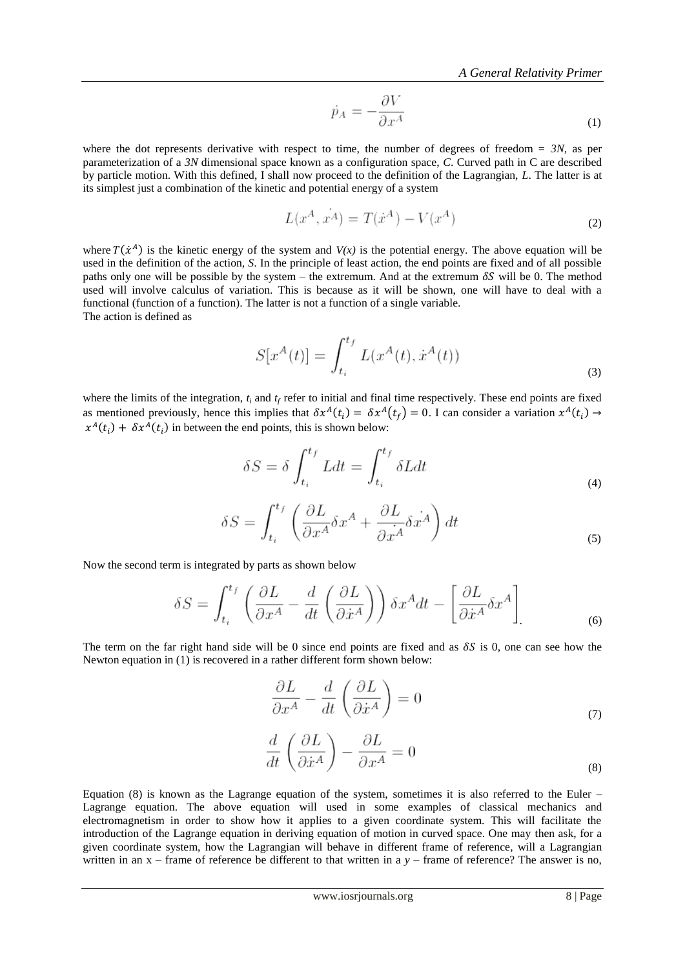$$
\dot{p}_A = -\frac{\partial V}{\partial x^A} \tag{1}
$$

where the dot represents derivative with respect to time, the number of degrees of freedom = *3N*, as per parameterization of a *3N* dimensional space known as a configuration space, *C*. Curved path in C are described by particle motion. With this defined, I shall now proceed to the definition of the Lagrangian, *L*. The latter is at its simplest just a combination of the kinetic and potential energy of a system

 $\sim$   $-$ 

$$
L(x^A, x^A) = T(\dot{x}^A) - V(x^A)
$$
 (2)

where  $T(\dot{x}^A)$  is the kinetic energy of the system and  $V(x)$  is the potential energy. The above equation will be used in the definition of the action, *S*. In the principle of least action, the end points are fixed and of all possible paths only one will be possible by the system – the extremum. And at the extremum  $\delta S$  will be 0. The method used will involve calculus of variation. This is because as it will be shown, one will have to deal with a functional (function of a function). The latter is not a function of a single variable. The action is defined as

$$
S[x^{A}(t)] = \int_{t_i}^{t_f} L(x^{A}(t), \dot{x}^{A}(t))
$$
\n(3)

where the limits of the integration,  $t_i$  and  $t_f$  refer to initial and final time respectively. These end points are fixed as mentioned previously, hence this implies that  $\delta x^A(t_i) = \delta x^A(t_f) = 0$ . I can consider a variation  $x^A(t_i)$  $x^{A}(t_i) + \delta x^{A}(t_i)$  in between the end points, this is shown below:

$$
\delta S = \delta \int_{t_i}^{t_f} L dt = \int_{t_i}^{t_f} \delta L dt \tag{4}
$$

$$
\delta S = \int_{t_i}^{t_f} \left( \frac{\partial L}{\partial x^A} \delta x^A + \frac{\partial L}{\partial x^A} \delta x^A \right) dt
$$
\n(5)

Now the second term is integrated by parts as shown below

$$
\delta S = \int_{t_i}^{t_f} \left( \frac{\partial L}{\partial x^A} - \frac{d}{dt} \left( \frac{\partial L}{\partial \dot{x}^A} \right) \right) \delta x^A dt - \left[ \frac{\partial L}{\partial \dot{x}^A} \delta x^A \right]
$$
(6)

The term on the far right hand side will be 0 since end points are fixed and as  $\delta S$  is 0, one can see how the Newton equation in (1) is recovered in a rather different form shown below:

$$
\frac{\partial L}{\partial x^A} - \frac{d}{dt} \left( \frac{\partial L}{\partial \dot{x}^A} \right) = 0 \tag{7}
$$

$$
\frac{d}{dt}\left(\frac{\partial L}{\partial \dot{x}^A}\right) - \frac{\partial L}{\partial x^A} = 0
$$
\n(8)

Equation (8) is known as the Lagrange equation of the system, sometimes it is also referred to the Euler – Lagrange equation. The above equation will used in some examples of classical mechanics and electromagnetism in order to show how it applies to a given coordinate system. This will facilitate the introduction of the Lagrange equation in deriving equation of motion in curved space. One may then ask, for a given coordinate system, how the Lagrangian will behave in different frame of reference, will a Lagrangian written in an x – frame of reference be different to that written in a *y* – frame of reference? The answer is no,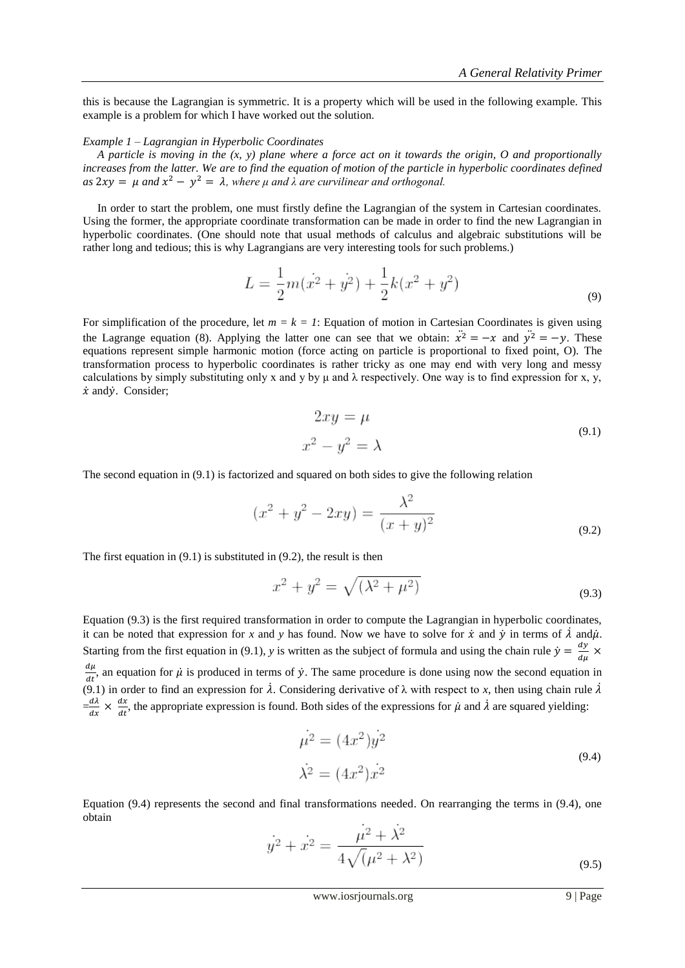this is because the Lagrangian is symmetric. It is a property which will be used in the following example. This example is a problem for which I have worked out the solution.

#### *Example 1 – Lagrangian in Hyperbolic Coordinates*

 *A particle is moving in the (x, y) plane where a force act on it towards the origin, O and proportionally increases from the latter. We are to find the equation of motion of the particle in hyperbolic coordinates defined*  $as 2xy = \mu$  and  $x^2 - y^2 = \lambda$ , where  $\mu$  and  $\lambda$  are curvilinear and orthogonal.

 In order to start the problem, one must firstly define the Lagrangian of the system in Cartesian coordinates. Using the former, the appropriate coordinate transformation can be made in order to find the new Lagrangian in hyperbolic coordinates. (One should note that usual methods of calculus and algebraic substitutions will be rather long and tedious; this is why Lagrangians are very interesting tools for such problems.)

$$
L = \frac{1}{2}m(\dot{x}^2 + \dot{y}^2) + \frac{1}{2}k(x^2 + y^2)
$$
\n(9)

For simplification of the procedure, let  $m = k = 1$ : Equation of motion in Cartesian Coordinates is given using the Lagrange equation (8). Applying the latter one can see that we obtain:  $\ddot{x}^2 = -x$  and  $\ddot{y}^2 = -y$ . These equations represent simple harmonic motion (force acting on particle is proportional to fixed point, O). The transformation process to hyperbolic coordinates is rather tricky as one may end with very long and messy calculations by simply substituting only x and y by  $\mu$  and  $\lambda$  respectively. One way is to find expression for x, y,  $\dot{x}$  and  $\dot{y}$ . Consider;

$$
2xy = \mu
$$
  

$$
x^2 - y^2 = \lambda
$$
 (9.1)

The second equation in (9.1) is factorized and squared on both sides to give the following relation

$$
(x^{2} + y^{2} - 2xy) = \frac{\lambda^{2}}{(x + y)^{2}}
$$
\n(9.2)

The first equation in (9.1) is substituted in (9.2), the result is then

$$
x^2 + y^2 = \sqrt{(\lambda^2 + \mu^2)}
$$
\n(9.3)

Equation (9.3) is the first required transformation in order to compute the Lagrangian in hyperbolic coordinates, it can be noted that expression for *x* and *y* has found. Now we have to solve for  $\dot{x}$  and  $\dot{y}$  in terms of  $\dot{\lambda}$  and  $\dot{\mu}$ . Starting from the first equation in (9.1), *y* is written as the subject of formula and using the chain rule  $\dot{y} = \frac{d}{d}$  $\frac{dy}{d\mu} \times$ d  $\frac{d\mu}{dt}$ , an equation for  $\mu$  is produced in terms of  $\dot{y}$ . The same procedure is done using now the second equation in (9.1) in order to find an expression for  $\lambda$ . Considering derivative of  $\lambda$  with respect to *x*, then using chain rule  $\lambda$  $=\frac{d}{l}$  $rac{d\lambda}{dx} \times \frac{d}{d}$  $\frac{dx}{dt}$ , the appropriate expression is found. Both sides of the expressions for  $\mu$  and  $\lambda$  are squared yielding:

$$
\mu^2 = (4x^2)y^2
$$
  

$$
\dot{\lambda^2} = (4x^2)\dot{x^2}
$$
 (9.4)

Equation (9.4) represents the second and final transformations needed. On rearranging the terms in (9.4), one obtain

$$
\dot{y}^2 + \dot{x}^2 = \frac{\mu^2 + \dot{\lambda}^2}{4\sqrt{(\mu^2 + \lambda^2)}}
$$
\n(9.5)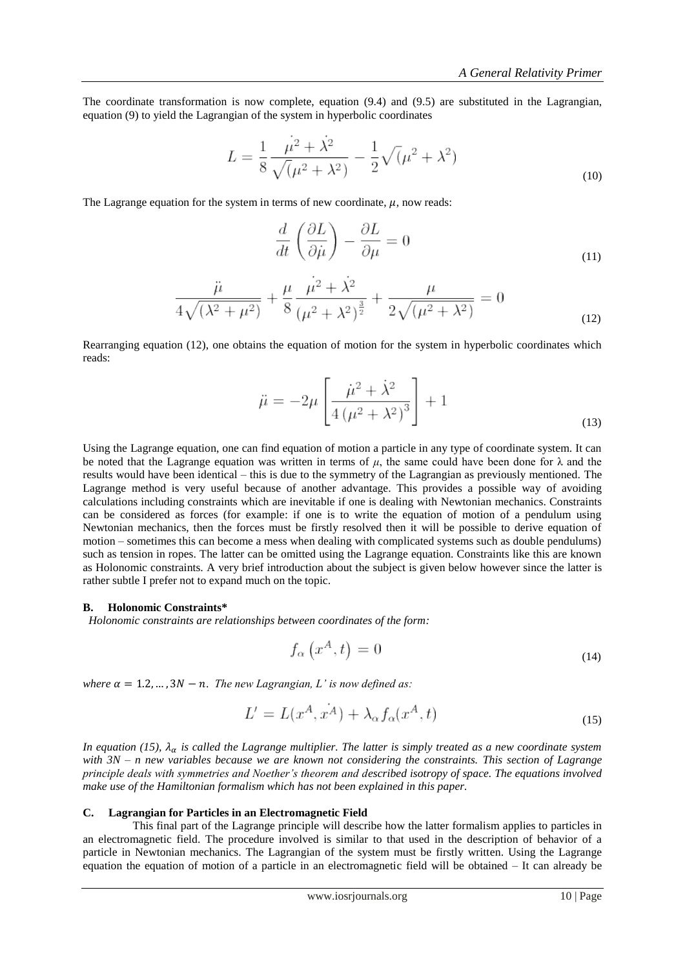The coordinate transformation is now complete, equation (9.4) and (9.5) are substituted in the Lagrangian, equation (9) to yield the Lagrangian of the system in hyperbolic coordinates

$$
L = \frac{1}{8} \frac{\mu^2 + \lambda^2}{\sqrt{(\mu^2 + \lambda^2)}} - \frac{1}{2} \sqrt{(\mu^2 + \lambda^2)}
$$
(10)

The Lagrange equation for the system in terms of new coordinate,  $\mu$ , now reads:

$$
\frac{d}{dt}\left(\frac{\partial L}{\partial \dot{\mu}}\right) - \frac{\partial L}{\partial \mu} = 0\tag{11}
$$

$$
\frac{\ddot{\mu}}{4\sqrt{(\lambda^2 + \mu^2)}} + \frac{\mu}{8} \frac{\mu^2 + \lambda^2}{(\mu^2 + \lambda^2)^{\frac{3}{2}}} + \frac{\mu}{2\sqrt{(\mu^2 + \lambda^2)}} = 0
$$
\n(12)

Rearranging equation (12), one obtains the equation of motion for the system in hyperbolic coordinates which reads:

$$
\ddot{\mu} = -2\mu \left[ \frac{\dot{\mu}^2 + \dot{\lambda}^2}{4\left(\mu^2 + \lambda^2\right)^3} \right] + 1
$$
\n(13)

Using the Lagrange equation, one can find equation of motion a particle in any type of coordinate system. It can be noted that the Lagrange equation was written in terms of  $\mu$ , the same could have been done for  $\lambda$  and the results would have been identical – this is due to the symmetry of the Lagrangian as previously mentioned. The Lagrange method is very useful because of another advantage. This provides a possible way of avoiding calculations including constraints which are inevitable if one is dealing with Newtonian mechanics. Constraints can be considered as forces (for example: if one is to write the equation of motion of a pendulum using Newtonian mechanics, then the forces must be firstly resolved then it will be possible to derive equation of motion – sometimes this can become a mess when dealing with complicated systems such as double pendulums) such as tension in ropes. The latter can be omitted using the Lagrange equation. Constraints like this are known as Holonomic constraints. A very brief introduction about the subject is given below however since the latter is rather subtle I prefer not to expand much on the topic.

#### **B. Holonomic Constraints\***

 *Holonomic constraints are relationships between coordinates of the form:*

$$
f_{\alpha}\left(x^{A},t\right) = 0\tag{14}
$$

where  $\alpha = 1.2, ..., 3N - n$ . The new Lagrangian, L' is now defined as:

$$
L' = L(x^A, x^A) + \lambda_\alpha f_\alpha(x^A, t) \tag{15}
$$

*In equation (15),*  $\lambda_{\alpha}$  *is called the Lagrange multiplier. The latter is simply treated as a new coordinate system with 3N – n new variables because we are known not considering the constraints. This section of Lagrange principle deals with symmetries and Noether's theorem and described isotropy of space. The equations involved make use of the Hamiltonian formalism which has not been explained in this paper.*

### **C. Lagrangian for Particles in an Electromagnetic Field**

 This final part of the Lagrange principle will describe how the latter formalism applies to particles in an electromagnetic field. The procedure involved is similar to that used in the description of behavior of a particle in Newtonian mechanics. The Lagrangian of the system must be firstly written. Using the Lagrange equation the equation of motion of a particle in an electromagnetic field will be obtained – It can already be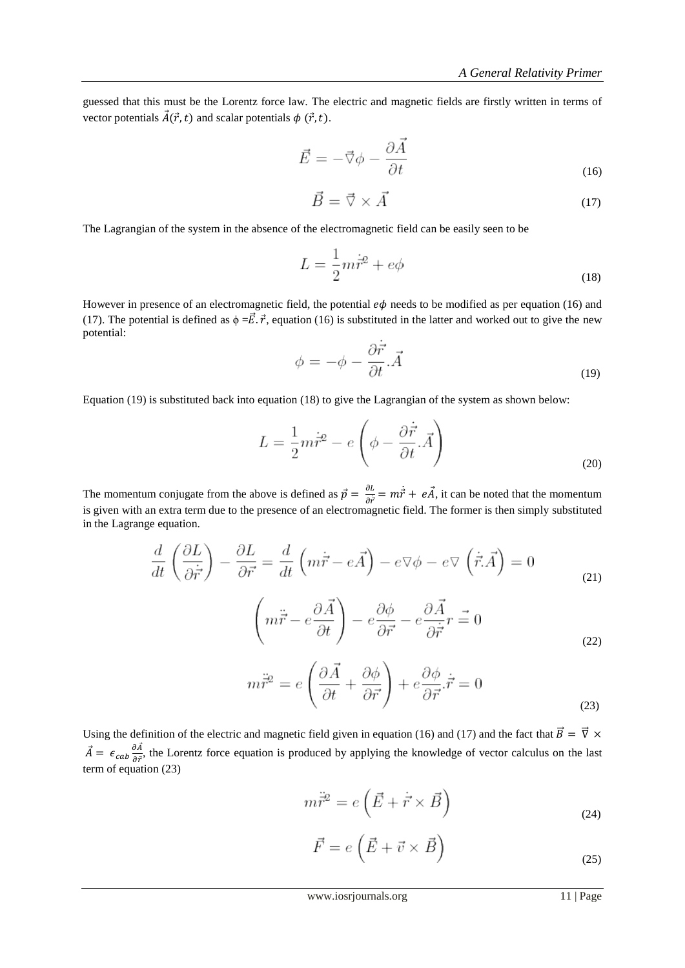guessed that this must be the Lorentz force law. The electric and magnetic fields are firstly written in terms of vector potentials  $\vec{A}(\vec{r}, t)$  and scalar potentials  $\phi(\vec{r}, t)$ .

$$
\vec{E} = -\vec{\nabla}\phi - \frac{\partial \vec{A}}{\partial t}
$$
\n(16)

$$
\vec{B} = \vec{\nabla} \times \vec{A} \tag{17}
$$

The Lagrangian of the system in the absence of the electromagnetic field can be easily seen to be

$$
L = \frac{1}{2}m\dot{\vec{r}}^2 + e\phi\tag{18}
$$

However in presence of an electromagnetic field, the potential  $e\phi$  needs to be modified as per equation (16) and (17). The potential is defined as  $\phi = \vec{E} \cdot \vec{r}$ , equation (16) is substituted in the latter and worked out to give the new potential:

$$
\phi = -\phi - \frac{\partial \vec{r}}{\partial t} \vec{A} \tag{19}
$$

Equation (19) is substituted back into equation (18) to give the Lagrangian of the system as shown below:

$$
L = \frac{1}{2}m\dot{\vec{r}}^2 - e\left(\phi - \frac{\partial \dot{\vec{r}}}{\partial t}.\vec{A}\right)
$$
(20)

The momentum conjugate from the above is defined as  $\vec{p} = \frac{\partial}{\partial x}$  $\frac{\partial L}{\partial \vec{r}} = m\dot{\vec{r}} + e\vec{A}$ , it can be noted that the momentum is given with an extra term due to the presence of an electromagnetic field. The former is then simply substituted in the Lagrange equation.

$$
\frac{d}{dt}\left(\frac{\partial L}{\partial \dot{r}}\right) - \frac{\partial L}{\partial \vec{r}} = \frac{d}{dt}\left(m\dot{\vec{r}} - e\vec{A}\right) - e\nabla\phi - e\nabla\left(\dot{\vec{r}}.\vec{A}\right) = 0
$$
\n
$$
\left(m\ddot{\vec{r}} - e\frac{\partial \vec{A}}{\partial t}\right) - e\frac{\partial\phi}{\partial t} - e\frac{\partial \vec{A}}{\partial t}\vec{r} = 0
$$
\n(21)

$$
\left(m\vec{r} - e\frac{\partial}{\partial t}\right) - e\frac{\partial}{\partial \vec{r}} - e\frac{\partial}{\partial \vec{r}}r = 0
$$
\n(22)

$$
m\ddot{\vec{r}}^2 = e\left(\frac{\partial\vec{A}}{\partial t} + \frac{\partial\phi}{\partial \vec{r}}\right) + e\frac{\partial\phi}{\partial \vec{r}}\dot{\vec{r}} = 0
$$
\n(23)

Using the definition of the electric and magnetic field given in equation (16) and (17) and the fact that  $\vec{B} = \vec{\nabla} \times$  $\vec{A} = \epsilon_{cab} \frac{\partial \vec{A}}{\partial \vec{B}}$  $\frac{\partial A}{\partial \vec{r}}$ , the Lorentz force equation is produced by applying the knowledge of vector calculus on the last term of equation (23)

$$
m\ddot{\vec{r}}^2 = e\left(\vec{E} + \dot{\vec{r}} \times \vec{B}\right)
$$
\n(24)

$$
\vec{F} = e\left(\vec{E} + \vec{v} \times \vec{B}\right)
$$
\n(25)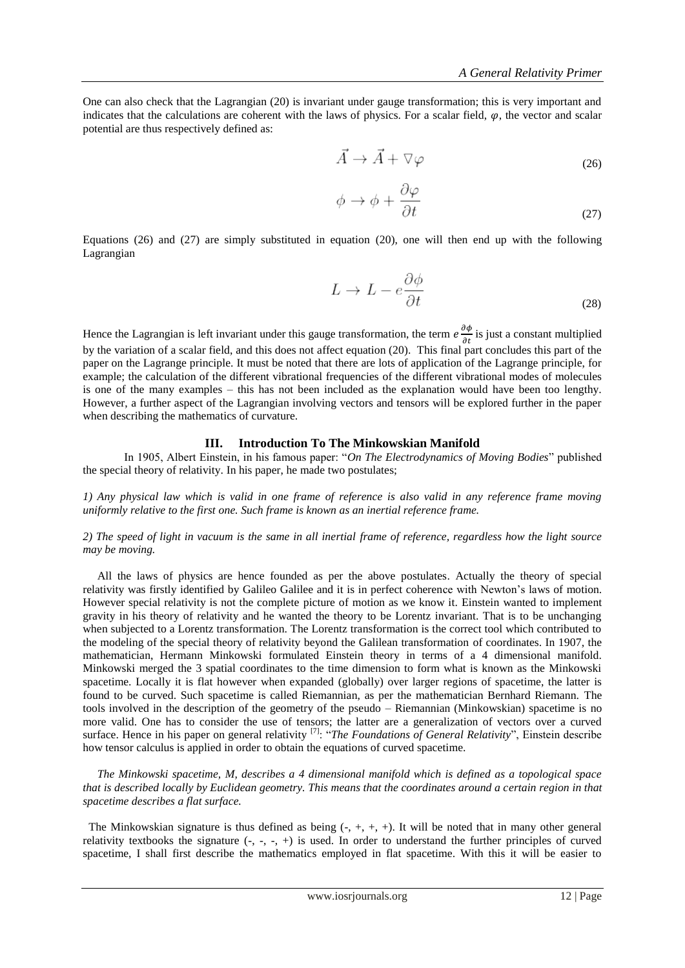One can also check that the Lagrangian (20) is invariant under gauge transformation; this is very important and indicates that the calculations are coherent with the laws of physics. For a scalar field,  $\varphi$ , the vector and scalar potential are thus respectively defined as:

$$
\vec{A} \to \vec{A} + \nabla \varphi \tag{26}
$$

 $\overline{a}$ 

$$
\phi \to \phi + \frac{\partial \varphi}{\partial t} \tag{27}
$$

Equations (26) and (27) are simply substituted in equation (20), one will then end up with the following Lagrangian

$$
L \to L - e \frac{\partial \phi}{\partial t} \tag{28}
$$

Hence the Lagrangian is left invariant under this gauge transformation, the term  $e\frac{\partial \phi}{\partial t}$  is just a constant multiplied by the variation of a scalar field, and this does not affect equation (20). This final part concludes this part of the paper on the Lagrange principle. It must be noted that there are lots of application of the Lagrange principle, for example; the calculation of the different vibrational frequencies of the different vibrational modes of molecules is one of the many examples – this has not been included as the explanation would have been too lengthy. However, a further aspect of the Lagrangian involving vectors and tensors will be explored further in the paper when describing the mathematics of curvature.

### **III. Introduction To The Minkowskian Manifold**

 In 1905, Albert Einstein, in his famous paper: "*On The Electrodynamics of Moving Bodies*" published the special theory of relativity. In his paper, he made two postulates;

*1) Any physical law which is valid in one frame of reference is also valid in any reference frame moving uniformly relative to the first one. Such frame is known as an inertial reference frame.*

## *2) The speed of light in vacuum is the same in all inertial frame of reference, regardless how the light source may be moving.*

 All the laws of physics are hence founded as per the above postulates. Actually the theory of special relativity was firstly identified by Galileo Galilee and it is in perfect coherence with Newton"s laws of motion. However special relativity is not the complete picture of motion as we know it. Einstein wanted to implement gravity in his theory of relativity and he wanted the theory to be Lorentz invariant. That is to be unchanging when subjected to a Lorentz transformation. The Lorentz transformation is the correct tool which contributed to the modeling of the special theory of relativity beyond the Galilean transformation of coordinates. In 1907, the mathematician, Hermann Minkowski formulated Einstein theory in terms of a 4 dimensional manifold. Minkowski merged the 3 spatial coordinates to the time dimension to form what is known as the Minkowski spacetime. Locally it is flat however when expanded (globally) over larger regions of spacetime, the latter is found to be curved. Such spacetime is called Riemannian, as per the mathematician Bernhard Riemann. The tools involved in the description of the geometry of the pseudo – Riemannian (Minkowskian) spacetime is no more valid. One has to consider the use of tensors; the latter are a generalization of vectors over a curved surface. Hence in his paper on general relativity <sup>[7]</sup>: "*The Foundations of General Relativity*", Einstein describe how tensor calculus is applied in order to obtain the equations of curved spacetime.

 *The Minkowski spacetime, M, describes a 4 dimensional manifold which is defined as a topological space that is described locally by Euclidean geometry. This means that the coordinates around a certain region in that spacetime describes a flat surface.*

The Minkowskian signature is thus defined as being  $(-, +, +, +)$ . It will be noted that in many other general relativity textbooks the signature  $(-, -, -, +)$  is used. In order to understand the further principles of curved spacetime, I shall first describe the mathematics employed in flat spacetime. With this it will be easier to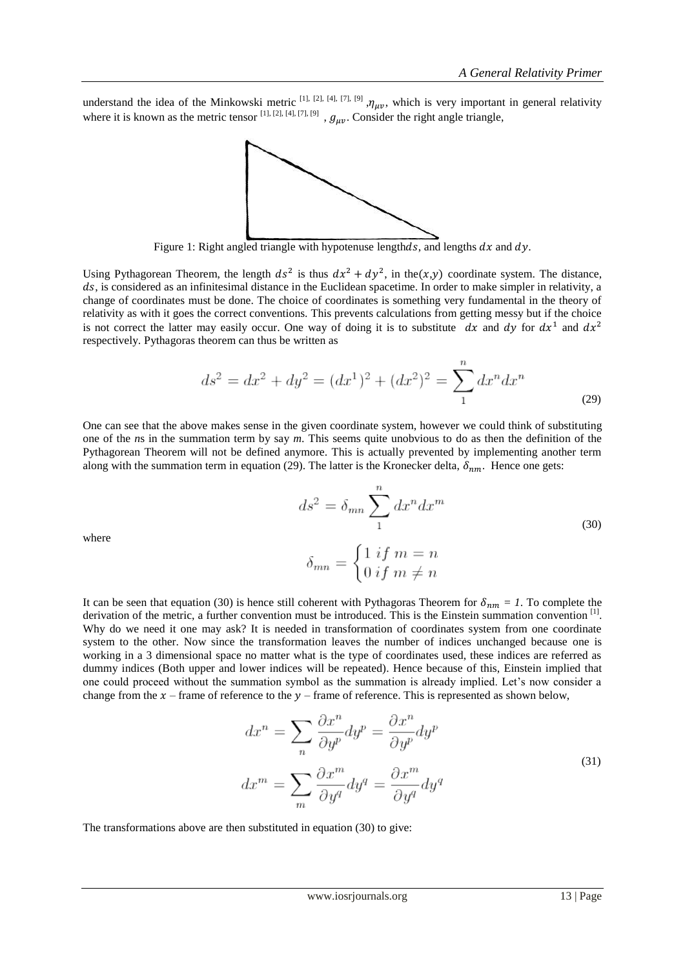understand the idea of the Minkowski metric <sup>[1], [2], [4], [7], [9]</sup>,  $\eta_{\mu\nu}$ , which is very important in general relativity where it is known as the metric tensor  $[1]$ ,  $[2]$ ,  $[4]$ ,  $[7]$ ,  $[9]$ ,  $g_{\mu\nu}$ . Consider the right angle triangle,



Figure 1: Right angled triangle with hypotenuse lengthds, and lengths  $dx$  and  $dy$ .

Using Pythagorean Theorem, the length  $ds^2$  is thus  $dx^2 + dy^2$ , in the  $(x,y)$  coordinate system. The distance, ds, is considered as an infinitesimal distance in the Euclidean spacetime. In order to make simpler in relativity, a change of coordinates must be done. The choice of coordinates is something very fundamental in the theory of relativity as with it goes the correct conventions. This prevents calculations from getting messy but if the choice is not correct the latter may easily occur. One way of doing it is to substitute dx and dy for  $dx^1$  and  $dx^2$ respectively. Pythagoras theorem can thus be written as

$$
ds^{2} = dx^{2} + dy^{2} = (dx^{1})^{2} + (dx^{2})^{2} = \sum_{1}^{n} dx^{n} dx^{n}
$$
\n(29)

One can see that the above makes sense in the given coordinate system, however we could think of substituting one of the *n*s in the summation term by say *m*. This seems quite unobvious to do as then the definition of the Pythagorean Theorem will not be defined anymore. This is actually prevented by implementing another term along with the summation term in equation (29). The latter is the Kronecker delta,  $\delta_{nm}$ . Hence one gets:

$$
ds^{2} = \delta_{mn} \sum_{1}^{n} dx^{n} dx^{m}
$$
  

$$
\delta_{mn} = \begin{cases} 1 & \text{if } m = n \\ 0 & \text{if } m \neq n \end{cases}
$$
 (30)

where

It can be seen that equation (30) is hence still coherent with Pythagoras Theorem for  $\delta_{nm} = 1$ . To complete the derivation of the metric, a further convention must be introduced. This is the Einstein summation convention [1]. Why do we need it one may ask? It is needed in transformation of coordinates system from one coordinate system to the other. Now since the transformation leaves the number of indices unchanged because one is working in a 3 dimensional space no matter what is the type of coordinates used, these indices are referred as dummy indices (Both upper and lower indices will be repeated). Hence because of this, Einstein implied that one could proceed without the summation symbol as the summation is already implied. Let"s now consider a change from the  $x$  – frame of reference to the  $y$  – frame of reference. This is represented as shown below,

$$
dx^{n} = \sum_{n} \frac{\partial x^{n}}{\partial y^{p}} dy^{p} = \frac{\partial x^{n}}{\partial y^{p}} dy^{p}
$$

$$
dx^{m} = \sum_{m} \frac{\partial x^{m}}{\partial y^{q}} dy^{q} = \frac{\partial x^{m}}{\partial y^{q}} dy^{q}
$$
(31)

The transformations above are then substituted in equation (30) to give: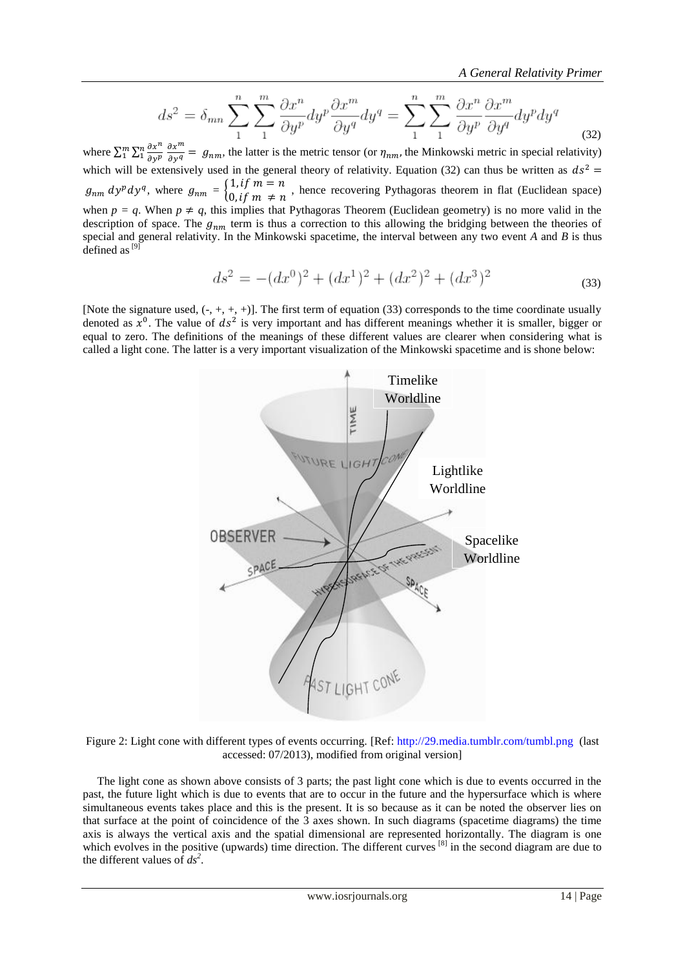*A General Relativity Primer*

$$
ds^{2} = \delta_{mn} \sum_{1}^{n} \sum_{1}^{m} \frac{\partial x^{n}}{\partial y^{p}} dy^{p} \frac{\partial x^{m}}{\partial y^{q}} dy^{q} = \sum_{1}^{n} \sum_{1}^{m} \frac{\partial x^{n}}{\partial y^{p}} \frac{\partial x^{m}}{\partial y^{q}} dy^{p} dy^{q}
$$
\n(32)

where  $\sum_{1}^{m} \sum_{1}^{n} \frac{\partial x^{n}}{\partial x^{n}}$ д n<br>1 д д  $\int_{1}^{m}\sum_{n=1}^{\infty}\frac{\partial x^{n}}{\partial y^{n}}\frac{\partial x^{n}}{\partial x^{n}}$  =  $g_{nm}$ , the latter is the metric tensor (or  $\eta_{nm}$ , the Minkowski metric in special relativity) which will be extensively used in the general theory of relativity. Equation (32) can thus be written as  $ds^2$  $g_{nm} dy^p dy^q$ , where  $g_{nm} = \begin{cases} 1 \\ 0 \end{cases}$  $n, \, i, \, j, \, m = n$ , hence recovering Pythagoras theorem in flat (Euclidean space)  $0, if \, m \neq n$ when  $p = q$ . When  $p \neq q$ , this implies that Pythagoras Theorem (Euclidean geometry) is no more valid in the description of space. The  $g_{nm}$  term is thus a correction to this allowing the bridging between the theories of special and general relativity. In the Minkowski spacetime, the interval between any two event *A* and *B* is thus defined as  $[9]$ 

$$
ds^{2} = -(dx^{0})^{2} + (dx^{1})^{2} + (dx^{2})^{2} + (dx^{3})^{2}
$$
\n(33)

[Note the signature used,  $(-, +, +, +)$ ]. The first term of equation (33) corresponds to the time coordinate usually denoted as  $x^0$ . The value of  $ds^2$  is very important and has different meanings whether it is smaller, bigger or equal to zero. The definitions of the meanings of these different values are clearer when considering what is called a light cone. The latter is a very important visualization of the Minkowski spacetime and is shone below:



Figure 2: Light cone with different types of events occurring. [Ref: [http://29.media.tumblr.com/tumbl.png](http://29.media.tumblr.com/tumblr_kz18bvVfBz1qb0ukuo1_400.png) (last accessed: 07/2013), modified from original version]

 The light cone as shown above consists of 3 parts; the past light cone which is due to events occurred in the past, the future light which is due to events that are to occur in the future and the hypersurface which is where simultaneous events takes place and this is the present. It is so because as it can be noted the observer lies on that surface at the point of coincidence of the 3 axes shown. In such diagrams (spacetime diagrams) the time axis is always the vertical axis and the spatial dimensional are represented horizontally. The diagram is one which evolves in the positive (upwards) time direction. The different curves [8] in the second diagram are due to the different values of  $ds^2$ .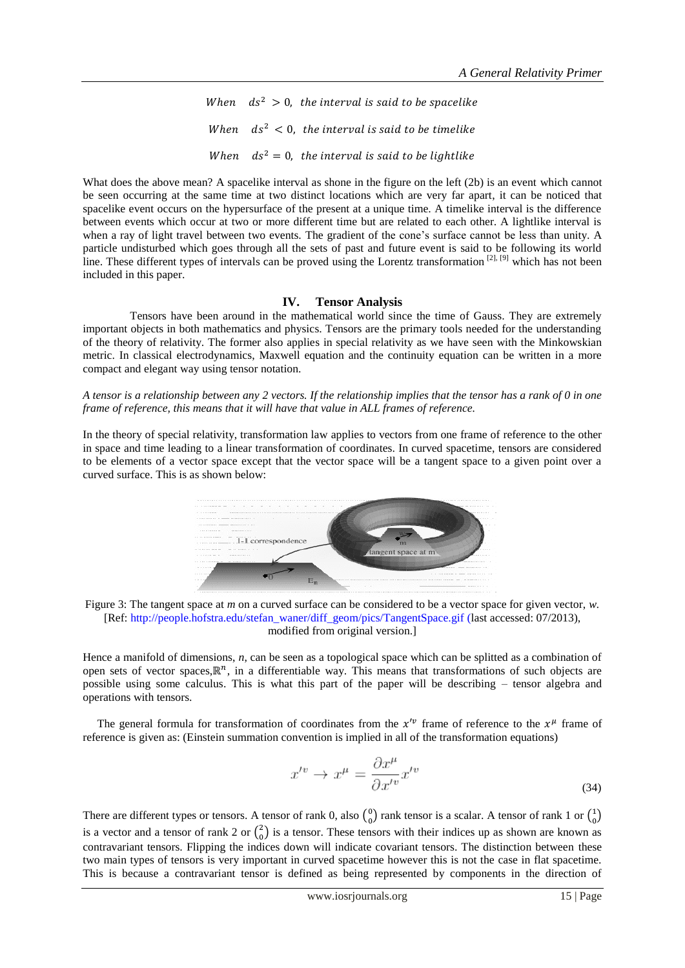When  $ds^2 > 0$ , the interval is said to be spacelike When  $ds^2 < 0$ , the interval is said to be timelike When  $ds^2 = 0$ , the interval is said to be lightlike

What does the above mean? A spacelike interval as shone in the figure on the left (2b) is an event which cannot be seen occurring at the same time at two distinct locations which are very far apart, it can be noticed that spacelike event occurs on the hypersurface of the present at a unique time. A timelike interval is the difference between events which occur at two or more different time but are related to each other. A lightlike interval is when a ray of light travel between two events. The gradient of the cone's surface cannot be less than unity. A particle undisturbed which goes through all the sets of past and future event is said to be following its world line. These different types of intervals can be proved using the Lorentz transformation [2], [9] which has not been included in this paper.

## **IV. Tensor Analysis**

 Tensors have been around in the mathematical world since the time of Gauss. They are extremely important objects in both mathematics and physics. Tensors are the primary tools needed for the understanding of the theory of relativity. The former also applies in special relativity as we have seen with the Minkowskian metric. In classical electrodynamics, Maxwell equation and the continuity equation can be written in a more compact and elegant way using tensor notation.

*A tensor is a relationship between any 2 vectors. If the relationship implies that the tensor has a rank of 0 in one frame of reference, this means that it will have that value in ALL frames of reference.* 

In the theory of special relativity, transformation law applies to vectors from one frame of reference to the other in space and time leading to a linear transformation of coordinates. In curved spacetime, tensors are considered to be elements of a vector space except that the vector space will be a tangent space to a given point over a curved surface. This is as shown below:



Figure 3: The tangent space at *m* on a curved surface can be considered to be a vector space for given vector, *w*. [Ref: [http://people.hofstra.edu/stefan\\_waner/diff\\_geom/pics/TangentSpace.gif](http://people.hofstra.edu/stefan_waner/diff_geom/pics/TangentSpace.gif) (last accessed: 07/2013), modified from original version.]

Hence a manifold of dimensions, *n*, can be seen as a topological space which can be splitted as a combination of open sets of vector spaces,  $\mathbb{R}^n$ , in a differentiable way. This means that transformations of such objects are possible using some calculus. This is what this part of the paper will be describing – tensor algebra and operations with tensors.

The general formula for transformation of coordinates from the  $x^{\prime\nu}$  frame of reference to the  $x^{\mu}$  frame of reference is given as: (Einstein summation convention is implied in all of the transformation equations)

$$
x^{\prime v} \rightarrow x^{\mu} = \frac{\partial x^{\mu}}{\partial x^{\prime v}} x^{\prime v}
$$
\n(34)

There are different types or tensors. A tensor of rank 0, also  $\binom{0}{0}$  $_{0}^{0}$ ) rank tensor is a scalar. A tensor of rank 1 or  $_{0}^{1}$  $_{0}^{1})$ is a vector and a tensor of rank 2 or  $\binom{2}{0}$  $_{0}^{2}$ ) is a tensor. These tensors with their indices up as shown are known as contravariant tensors. Flipping the indices down will indicate covariant tensors. The distinction between these two main types of tensors is very important in curved spacetime however this is not the case in flat spacetime. This is because a contravariant tensor is defined as being represented by components in the direction of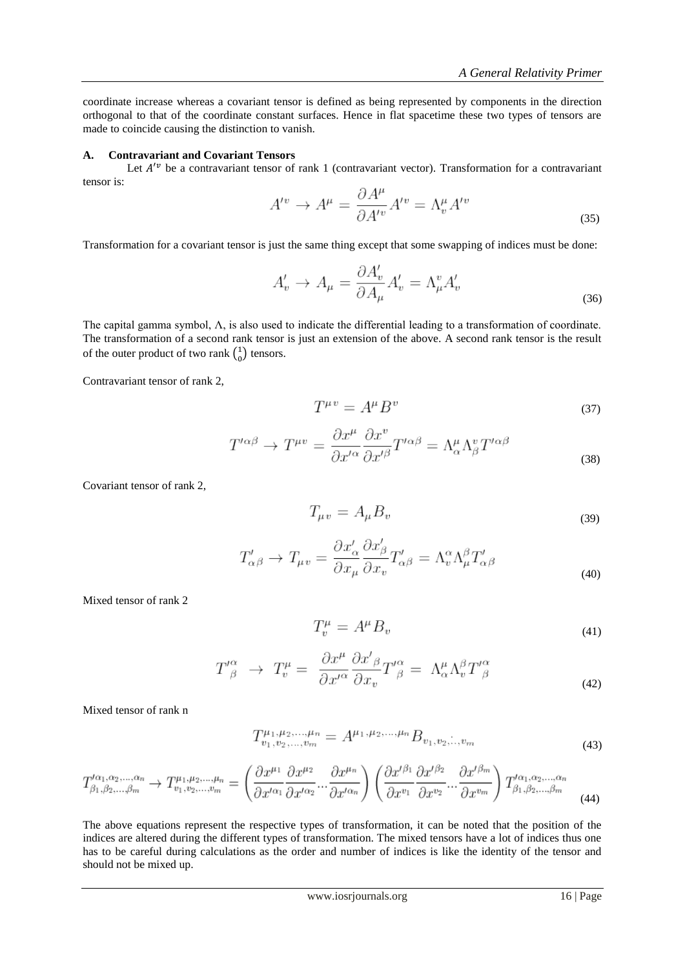coordinate increase whereas a covariant tensor is defined as being represented by components in the direction orthogonal to that of the coordinate constant surfaces. Hence in flat spacetime these two types of tensors are made to coincide causing the distinction to vanish.

## **A. Contravariant and Covariant Tensors**

Let  $A^{\prime\prime}$  be a contravariant tensor of rank 1 (contravariant vector). Transformation for a contravariant tensor is:

$$
A^{\prime v} \to A^{\mu} = \frac{\partial A^{\mu}}{\partial A^{\prime v}} A^{\prime v} = \Lambda^{\mu}_{v} A^{\prime v}
$$
\n(35)

Transformation for a covariant tensor is just the same thing except that some swapping of indices must be done:

$$
A'_v \to A_\mu = \frac{\partial A'_v}{\partial A_\mu} A'_v = \Lambda_\mu^v A'_v \tag{36}
$$

The capital gamma symbol, Λ, is also used to indicate the differential leading to a transformation of coordinate. The transformation of a second rank tensor is just an extension of the above. A second rank tensor is the result of the outer product of two rank  $\binom{1}{0}$  $_{0}^{1}$ ) tensors.

Contravariant tensor of rank 2,

$$
T^{\mu v} = A^{\mu} B^{\nu} \tag{37}
$$

$$
T^{\prime\alpha\beta} \to T^{\mu\nu} = \frac{\partial x^{\mu}}{\partial x^{\prime\alpha}} \frac{\partial x^{\nu}}{\partial x^{\prime\beta}} T^{\prime\alpha\beta} = \Lambda^{\mu}_{\alpha} \Lambda^{\nu}_{\beta} T^{\prime\alpha\beta} \tag{38}
$$

Covariant tensor of rank 2,

$$
T_{\mu v} = A_{\mu} B_v \tag{39}
$$

$$
T'_{\alpha\beta} \to T_{\mu\nu} = \frac{\partial x'_{\alpha}}{\partial x_{\mu}} \frac{\partial x'_{\beta}}{\partial x_{\nu}} T'_{\alpha\beta} = \Lambda^{\alpha}_{\nu} \Lambda^{\beta}_{\mu} T'_{\alpha\beta}
$$
\n(40)

Mixed tensor of rank 2

$$
T_v^{\mu} = A^{\mu} B_v \tag{41}
$$

$$
T'^{\alpha}_{\ \beta} \ \to \ T^{\mu}_{v} = \ \frac{\partial x^{\mu}}{\partial x'^{\alpha}} \frac{\partial x'^{\beta}}{\partial x_{v}} T'^{\alpha}_{\ \beta} = \ \Lambda^{\mu}_{\alpha} \Lambda^{\beta}_{v} T'^{\alpha}_{\ \beta} \tag{42}
$$

Mixed tensor of rank n

$$
T_{v_1, v_2, \dots, v_m}^{\mu_1, \mu_2, \dots, \mu_n} = A^{\mu_1, \mu_2, \dots, \mu_n} B_{v_1, v_2, \dots, v_m}
$$
\n<sup>(43)</sup>

$$
T^{\prime\alpha_1,\alpha_2,\dots,\alpha_n}_{\beta_1,\beta_2,\dots,\beta_m} \to T^{\mu_1,\mu_2,\dots,\mu_n}_{v_1,v_2,\dots,v_m} = \left(\frac{\partial x^{\mu_1}}{\partial x^{\prime\alpha_1}} \frac{\partial x^{\mu_2}}{\partial x^{\prime\alpha_2}} \cdots \frac{\partial x^{\mu_n}}{\partial x^{\prime\alpha_n}}\right) \left(\frac{\partial x^{\prime\beta_1}}{\partial x^{v_1}} \frac{\partial x^{\prime\beta_2}}{\partial x^{v_2}} \cdots \frac{\partial x^{\prime\beta_m}}{\partial x^{v_m}}\right) T^{\prime\alpha_1,\alpha_2,\dots,\alpha_n}_{\beta_1,\beta_2,\dots,\beta_m} \tag{44}
$$

The above equations represent the respective types of transformation, it can be noted that the position of the indices are altered during the different types of transformation. The mixed tensors have a lot of indices thus one has to be careful during calculations as the order and number of indices is like the identity of the tensor and should not be mixed up.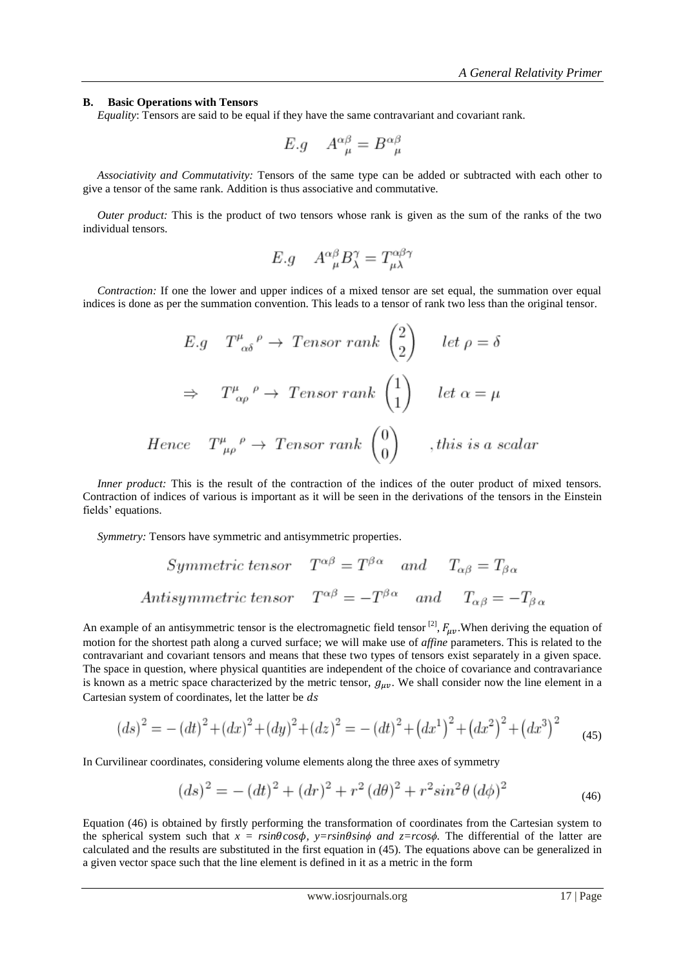#### **B. Basic Operations with Tensors**

 *Equality*: Tensors are said to be equal if they have the same contravariant and covariant rank.

$$
E.g \quad A^{\alpha\beta}_{\ \mu} = B^{\alpha\beta}_{\ \mu}
$$

 *Associativity and Commutativity:* Tensors of the same type can be added or subtracted with each other to give a tensor of the same rank. Addition is thus associative and commutative.

*Outer product:* This is the product of two tensors whose rank is given as the sum of the ranks of the two individual tensors.

$$
E.g \quad A^{\alpha\beta}_{\ \mu}B^{\gamma}_{\lambda} = T^{\alpha\beta\gamma}_{\mu\lambda}
$$

 *Contraction:* If one the lower and upper indices of a mixed tensor are set equal, the summation over equal indices is done as per the summation convention. This leads to a tensor of rank two less than the original tensor.

$$
E.g \tT^{\mu}_{\alpha\delta}{}^{\rho} \to Tensor \ rank \begin{pmatrix} 2 \\ 2 \end{pmatrix} \tlet \rho = \delta
$$
  
\n
$$
\Rightarrow T^{\mu}_{\alpha\rho}{}^{\rho} \to Tensor \ rank \begin{pmatrix} 1 \\ 1 \end{pmatrix} \tlet \alpha = \mu
$$
  
\n
$$
Hence \tT^{\mu}_{\ \mu\rho}{}^{\rho} \to Tensor \ rank \begin{pmatrix} 0 \\ 0 \end{pmatrix} \t, this \ is \ a \ scalar
$$

*Inner product:* This is the result of the contraction of the indices of the outer product of mixed tensors. Contraction of indices of various is important as it will be seen in the derivations of the tensors in the Einstein fields' equations.

 *Symmetry:* Tensors have symmetric and antisymmetric properties.

Symmetric tensor 
$$
T^{\alpha\beta} = T^{\beta\alpha}
$$
 and  $T_{\alpha\beta} = T_{\beta\alpha}$   
Antisymmetric tensor  $T^{\alpha\beta} = -T^{\beta\alpha}$  and  $T_{\alpha\beta} = -T_{\beta\alpha}$ 

An example of an antisymmetric tensor is the electromagnetic field tensor <sup>[2]</sup>,  $F_{\mu\nu}$ . When deriving the equation of motion for the shortest path along a curved surface; we will make use of *affine* parameters. This is related to the contravariant and covariant tensors and means that these two types of tensors exist separately in a given space. The space in question, where physical quantities are independent of the choice of covariance and contravariance is known as a metric space characterized by the metric tensor,  $g_{\mu\nu}$ . We shall consider now the line element in a Cartesian system of coordinates, let the latter be ds

$$
(ds)^{2} = -(dt)^{2} + (dx)^{2} + (dy)^{2} + (dz)^{2} = -(dt)^{2} + (dx^{1})^{2} + (dx^{2})^{2} + (dx^{3})^{2}
$$
(45)

In Curvilinear coordinates, considering volume elements along the three axes of symmetry

$$
(ds)^{2} = -(dt)^{2} + (dr)^{2} + r^{2} (d\theta)^{2} + r^{2} sin^{2}\theta (d\phi)^{2}
$$
\n(46)

Equation (46) is obtained by firstly performing the transformation of coordinates from the Cartesian system to the spherical system such that  $x = r \sin \theta \cos \phi$ ,  $y = r \sin \theta \sin \phi$  and  $z = r \cos \phi$ . The differential of the latter are calculated and the results are substituted in the first equation in (45). The equations above can be generalized in a given vector space such that the line element is defined in it as a metric in the form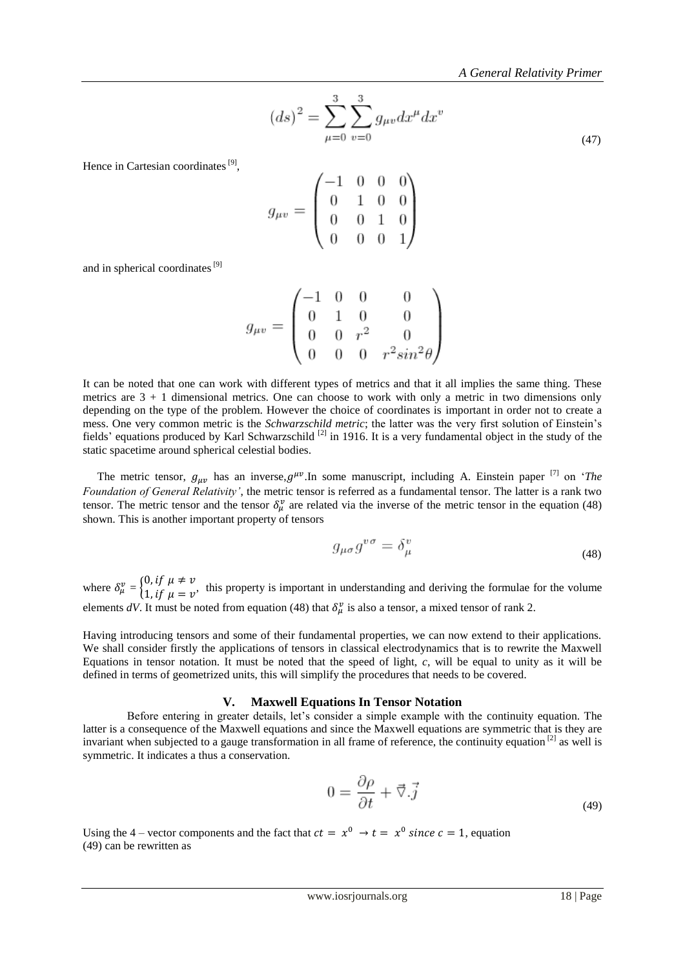$$
(ds)^{2} = \sum_{\mu=0}^{3} \sum_{v=0}^{3} g_{\mu v} dx^{\mu} dx^{v}
$$
\n(47)

Hence in Cartesian coordinates<sup>[9]</sup>,

$$
g_{\mu\nu} = \begin{pmatrix} -1 & 0 & 0 & 0 \\ 0 & 1 & 0 & 0 \\ 0 & 0 & 1 & 0 \\ 0 & 0 & 0 & 1 \end{pmatrix}
$$

and in spherical coordinates<sup>[9]</sup>

$$
g_{\mu v} = \begin{pmatrix} -1 & 0 & 0 & 0 \\ 0 & 1 & 0 & 0 \\ 0 & 0 & r^2 & 0 \\ 0 & 0 & 0 & r^2 \sin^2 \theta \end{pmatrix}
$$

It can be noted that one can work with different types of metrics and that it all implies the same thing. These metrics are 3 + 1 dimensional metrics. One can choose to work with only a metric in two dimensions only depending on the type of the problem. However the choice of coordinates is important in order not to create a mess. One very common metric is the *Schwarzschild metric*; the latter was the very first solution of Einstein"s fields' equations produced by Karl Schwarzschild<sup>[2]</sup> in 1916. It is a very fundamental object in the study of the static spacetime around spherical celestial bodies.

The metric tensor,  $g_{\mu\nu}$  has an inverse,  $g^{\mu\nu}$ . In some manuscript, including A. Einstein paper <sup>[7]</sup> on '*The Foundation of General Relativity'*, the metric tensor is referred as a fundamental tensor. The latter is a rank two tensor. The metric tensor and the tensor  $\delta^v_\mu$  are related via the inverse of the metric tensor in the equation (48) shown. This is another important property of tensors

$$
g_{\mu\sigma}g^{\nu\sigma} = \delta^{\nu}_{\mu} \tag{48}
$$

where  $\delta_u^v = \begin{cases} 0 \\ 1 \end{cases}$  $\int f, f \mu \neq 0$ , this property is important in understanding and deriving the formulae for the volume  $1$ , if  $\mu = v$ . elements dV. It must be noted from equation (48) that  $\delta_u^v$  is also a tensor, a mixed tensor of rank 2.

Having introducing tensors and some of their fundamental properties, we can now extend to their applications. We shall consider firstly the applications of tensors in classical electrodynamics that is to rewrite the Maxwell Equations in tensor notation. It must be noted that the speed of light, *c*, will be equal to unity as it will be defined in terms of geometrized units, this will simplify the procedures that needs to be covered.

#### **V. Maxwell Equations In Tensor Notation**

Before entering in greater details, let's consider a simple example with the continuity equation. The latter is a consequence of the Maxwell equations and since the Maxwell equations are symmetric that is they are invariant when subjected to a gauge transformation in all frame of reference, the continuity equation [2] as well is symmetric. It indicates a thus a conservation.

$$
0 = \frac{\partial \rho}{\partial t} + \vec{\nabla} \cdot \vec{j} \tag{49}
$$

Using the 4 – vector components and the fact that  $ct = x^0 \rightarrow t = x^0$  since  $c = 1$ , equation (49) can be rewritten as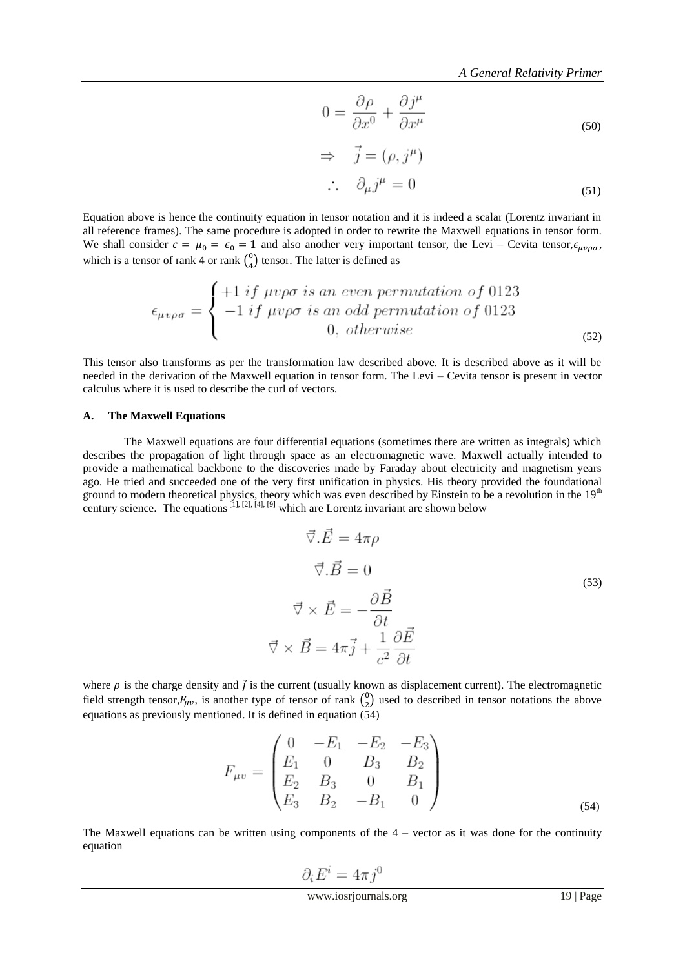$$
0 = \frac{\partial \rho}{\partial x^0} + \frac{\partial j^{\mu}}{\partial x^{\mu}}
$$
\n(50)

$$
\Rightarrow \vec{j} = (\rho, j^{\mu})
$$
  

$$
\therefore \quad \partial_{\mu} j^{\mu} = 0
$$
 (51)

Equation above is hence the continuity equation in tensor notation and it is indeed a scalar (Lorentz invariant in all reference frames). The same procedure is adopted in order to rewrite the Maxwell equations in tensor form. We shall consider  $c = \mu_0 = \epsilon_0 = 1$  and also another very important tensor, the Levi – Cevita tensor,  $\epsilon_{\mu\nu\rho\sigma}$ , which is a tensor of rank 4 or rank  $\binom{0}{4}$  $_{4}^{0}$ ) tensor. The latter is defined as

$$
\epsilon_{\mu\nu\rho\sigma} = \begin{cases}\n+1 & if \ \mu\nu\rho\sigma \ is \ an \ even \ permutation \ of \ 0123 \\
-1 & if \ \mu\nu\rho\sigma \ is \ an \ odd \ permutation \ of \ 0123 \\
0, \ otherwise\n\end{cases}
$$
\n(52)

This tensor also transforms as per the transformation law described above. It is described above as it will be needed in the derivation of the Maxwell equation in tensor form. The Levi – Cevita tensor is present in vector calculus where it is used to describe the curl of vectors.

#### **A. The Maxwell Equations**

 The Maxwell equations are four differential equations (sometimes there are written as integrals) which describes the propagation of light through space as an electromagnetic wave. Maxwell actually intended to provide a mathematical backbone to the discoveries made by Faraday about electricity and magnetism years ago. He tried and succeeded one of the very first unification in physics. His theory provided the foundational ground to modern theoretical physics, theory which was even described by Einstein to be a revolution in the  $19<sup>th</sup>$ century science. The equations  $[1]$ ,  $[2]$ ,  $[4]$ ,  $[9]$  which are Lorentz invariant are shown below

$$
\vec{\nabla}.\vec{E} = 4\pi\rho
$$
  

$$
\vec{\nabla}.\vec{B} = 0
$$
  

$$
\vec{\nabla} \times \vec{E} = -\frac{\partial \vec{B}}{\partial t}
$$
  

$$
\vec{\nabla} \times \vec{B} = 4\pi\vec{j} + \frac{1}{c^2}\frac{\partial \vec{E}}{\partial t}
$$
 (53)

where  $\rho$  is the charge density and  $\vec{j}$  is the current (usually known as displacement current). The electromagnetic field strength tensor,  $F_{\mu\nu}$ , is another type of tensor of rank  $\binom{0}{2}$  $_{2}^{0}$ ) used to described in tensor notations the above equations as previously mentioned. It is defined in equation  $(54)$ 

$$
F_{\mu\nu} = \begin{pmatrix} 0 & -E_1 & -E_2 & -E_3 \\ E_1 & 0 & B_3 & B_2 \\ E_2 & B_3 & 0 & B_1 \\ E_3 & B_2 & -B_1 & 0 \end{pmatrix}
$$
\n(54)

The Maxwell equations can be written using components of the  $4$  – vector as it was done for the continuity equation

$$
\partial_i E^i = 4\pi j^0
$$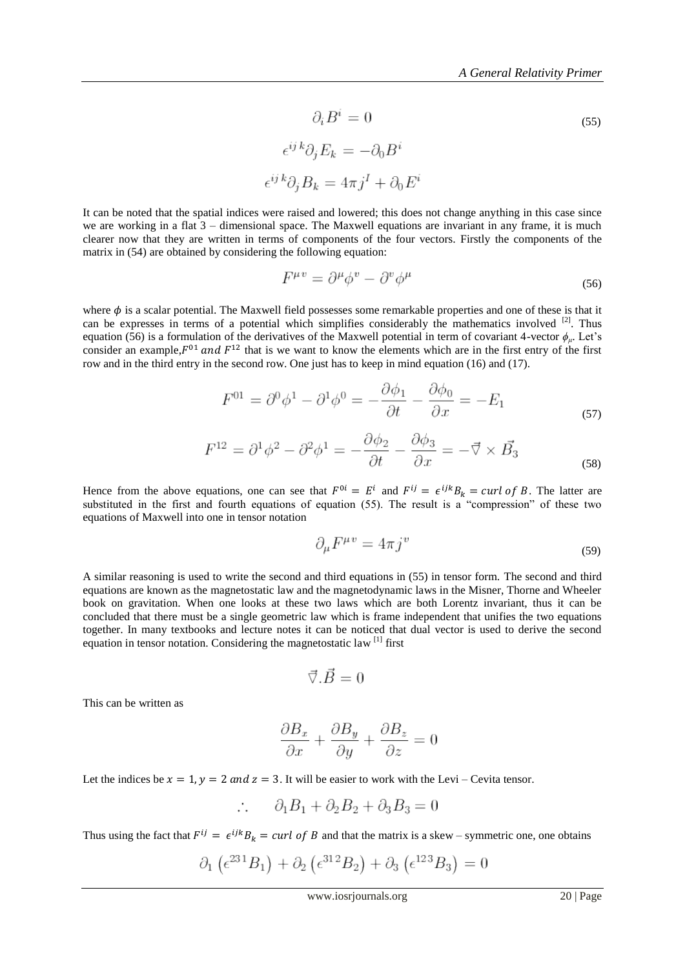$$
\partial_i B^i = 0
$$
\n
$$
\epsilon^{ij k} \partial_j E_k = -\partial_0 B^i
$$
\n
$$
\epsilon^{ij k} \partial_j B_k = 4\pi j^I + \partial_0 E^i
$$
\n(55)

It can be noted that the spatial indices were raised and lowered; this does not change anything in this case since we are working in a flat 3 – dimensional space. The Maxwell equations are invariant in any frame, it is much clearer now that they are written in terms of components of the four vectors. Firstly the components of the matrix in (54) are obtained by considering the following equation:

$$
F^{\mu\nu} = \partial^{\mu}\phi^{\nu} - \partial^{\nu}\phi^{\mu} \tag{56}
$$

where  $\phi$  is a scalar potential. The Maxwell field possesses some remarkable properties and one of these is that it can be expresses in terms of a potential which simplifies considerably the mathematics involved <sup>[2]</sup>. Thus equation (56) is a formulation of the derivatives of the Maxwell potential in term of covariant 4-vector  $\phi_{\mu}$ . Let's consider an example,  $F^{01}$  and  $F^{12}$  that is we want to know the elements which are in the first entry of the first row and in the third entry in the second row. One just has to keep in mind equation (16) and (17).

$$
F^{01} = \partial^0 \phi^1 - \partial^1 \phi^0 = -\frac{\partial \phi_1}{\partial t} - \frac{\partial \phi_0}{\partial x} = -E_1 \tag{57}
$$

$$
F^{12} = \partial^1 \phi^2 - \partial^2 \phi^1 = -\frac{\partial \phi_2}{\partial t} - \frac{\partial \phi_3}{\partial x} = -\vec{\nabla} \times \vec{B_3}
$$
(58)

Hence from the above equations, one can see that  $F^{0i} = E^i$  and  $F^{ij} = \epsilon^{ijk} B_k = curl$  of B. The latter are substituted in the first and fourth equations of equation (55). The result is a "compression" of these two equations of Maxwell into one in tensor notation

$$
\partial_{\mu}F^{\mu\nu} = 4\pi j^{\nu} \tag{59}
$$

A similar reasoning is used to write the second and third equations in (55) in tensor form. The second and third equations are known as the magnetostatic law and the magnetodynamic laws in the Misner, Thorne and Wheeler book on gravitation. When one looks at these two laws which are both Lorentz invariant, thus it can be concluded that there must be a single geometric law which is frame independent that unifies the two equations together. In many textbooks and lecture notes it can be noticed that dual vector is used to derive the second equation in tensor notation. Considering the magnetostatic law<sup>[1]</sup> first

$$
\vec{\nabla}.\vec{B}=0
$$

This can be written as

$$
\frac{\partial B_x}{\partial x} + \frac{\partial B_y}{\partial y} + \frac{\partial B_z}{\partial z} = 0
$$

Let the indices be  $x = 1$ ,  $y = 2$  and  $z = 3$ . It will be easier to work with the Levi – Cevita tensor.

$$
\therefore \qquad \partial_1 B_1 + \partial_2 B_2 + \partial_3 B_3 = 0
$$

Thus using the fact that  $F^{ij} = \epsilon^{ijk} B_k = curl$  of B and that the matrix is a skew – symmetric one, one obtains

$$
\partial_1 \left( \epsilon^{23}{}^{1}B_1 \right) + \partial_2 \left( \epsilon^{31}{}^{2}B_2 \right) + \partial_3 \left( \epsilon^{12}{}^{3}B_3 \right) = 0
$$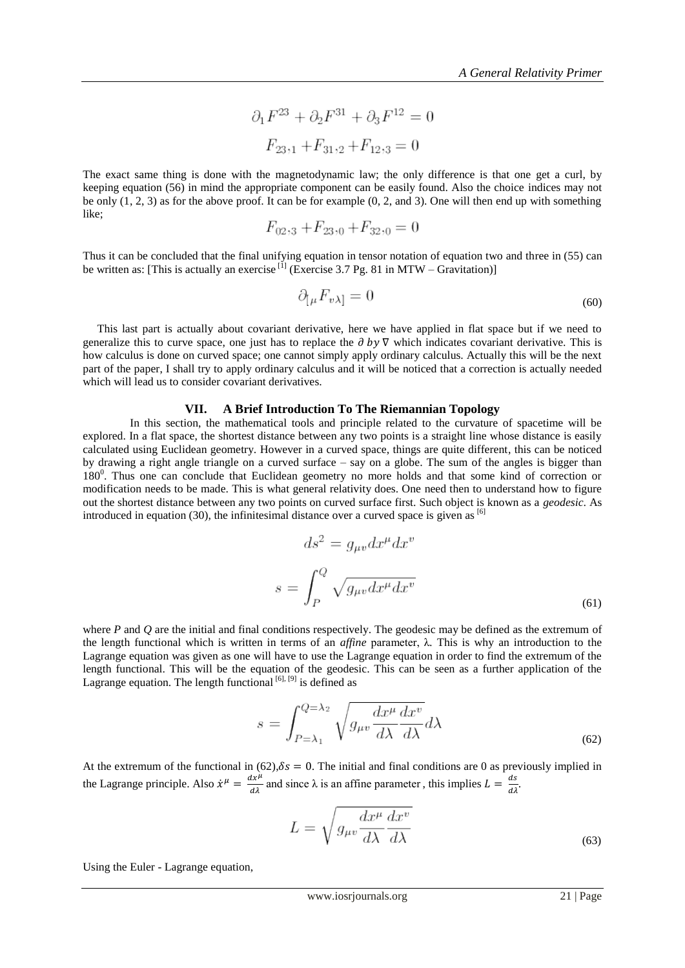$$
\partial_1 F^{23} + \partial_2 F^{31} + \partial_3 F^{12} = 0
$$

$$
F_{23,1} + F_{31,2} + F_{12,3} = 0
$$

The exact same thing is done with the magnetodynamic law; the only difference is that one get a curl, by keeping equation (56) in mind the appropriate component can be easily found. Also the choice indices may not be only (1, 2, 3) as for the above proof. It can be for example (0, 2, and 3). One will then end up with something like;

$$
F_{02,3} + F_{23,0} + F_{32,0} = 0
$$

Thus it can be concluded that the final unifying equation in tensor notation of equation two and three in (55) can be written as: [This is actually an exercise  $^{[1]}$  (Exercise 3.7 Pg. 81 in MTW – Gravitation)]

$$
\partial_{[\mu} F_{\nu\lambda]} = 0 \tag{60}
$$

 This last part is actually about covariant derivative, here we have applied in flat space but if we need to generalize this to curve space, one just has to replace the  $\partial$  by  $\nabla$  which indicates covariant derivative. This is how calculus is done on curved space; one cannot simply apply ordinary calculus. Actually this will be the next part of the paper, I shall try to apply ordinary calculus and it will be noticed that a correction is actually needed which will lead us to consider covariant derivatives.

#### **VII. A Brief Introduction To The Riemannian Topology**

 In this section, the mathematical tools and principle related to the curvature of spacetime will be explored. In a flat space, the shortest distance between any two points is a straight line whose distance is easily calculated using Euclidean geometry. However in a curved space, things are quite different, this can be noticed by drawing a right angle triangle on a curved surface – say on a globe. The sum of the angles is bigger than 180<sup>0</sup>. Thus one can conclude that Euclidean geometry no more holds and that some kind of correction or modification needs to be made. This is what general relativity does. One need then to understand how to figure out the shortest distance between any two points on curved surface first. Such object is known as a *geodesic*. As introduced in equation (30), the infinitesimal distance over a curved space is given as  $[6]$ 

$$
ds^{2} = g_{\mu\nu}dx^{\mu}dx^{v}
$$

$$
s = \int_{P}^{Q} \sqrt{g_{\mu\nu}dx^{\mu}dx^{v}}
$$
(61)

where *P* and *Q* are the initial and final conditions respectively. The geodesic may be defined as the extremum of the length functional which is written in terms of an *affine* parameter, λ*.* This is why an introduction to the Lagrange equation was given as one will have to use the Lagrange equation in order to find the extremum of the length functional. This will be the equation of the geodesic. This can be seen as a further application of the Lagrange equation. The length functional  $[6]$ ,  $[9]$  is defined as

$$
s = \int_{P=\lambda_1}^{Q=\lambda_2} \sqrt{g_{\mu v} \frac{dx^{\mu}}{d\lambda} \frac{dx^{\nu}}{d\lambda}} d\lambda \tag{62}
$$

At the extremum of the functional in  $(62)$ ,  $\delta s = 0$ . The initial and final conditions are 0 as previously implied in the Lagrange principle. Also  $\dot{x}^{\mu} = \frac{dx^{\mu}}{d\lambda}$  and since  $\lambda$  is an affine parameter, this implies  $L = \frac{ds}{d\lambda}$ .

$$
L = \sqrt{g_{\mu v} \frac{dx^{\mu}}{d\lambda} \frac{dx^{v}}{d\lambda}}
$$
(63)

Using the Euler - Lagrange equation,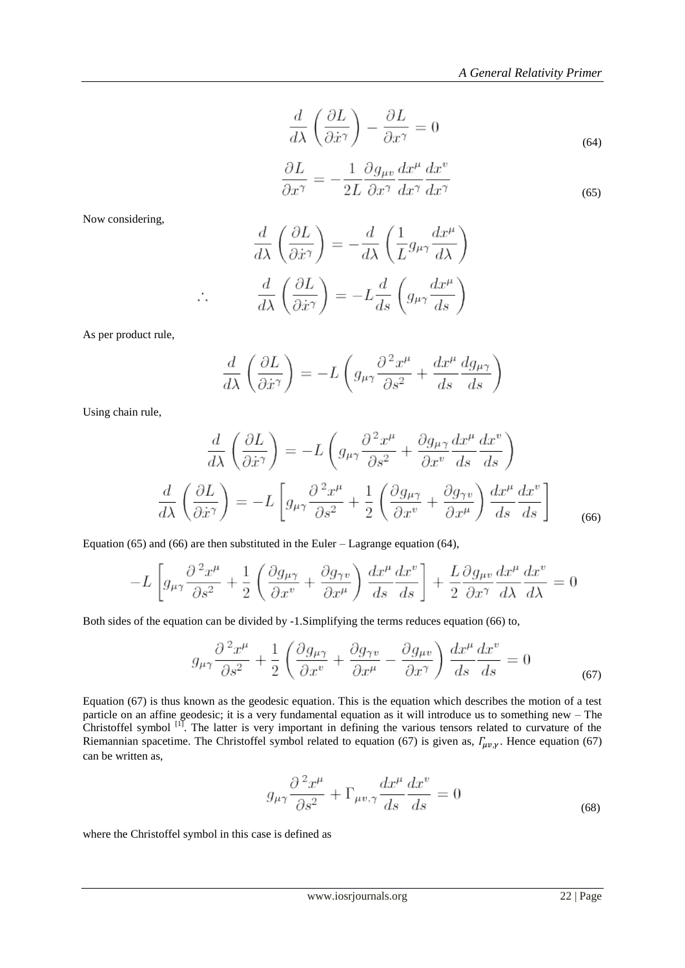$$
\frac{d}{d\lambda} \left( \frac{\partial L}{\partial \dot{x}^{\gamma}} \right) - \frac{\partial L}{\partial x^{\gamma}} = 0
$$
\n(64)

$$
\frac{\partial L}{\partial x^{\gamma}} = -\frac{1}{2L} \frac{\partial g_{\mu v}}{\partial x^{\gamma}} \frac{dx^{\mu}}{dx^{\gamma}} \frac{dx^{v}}{dx^{\gamma}}
$$
\n(65)

Now considering,

$$
\frac{d}{d\lambda} \left( \frac{\partial L}{\partial \dot{x}^{\gamma}} \right) = -\frac{d}{d\lambda} \left( \frac{1}{L} g_{\mu\gamma} \frac{dx^{\mu}}{d\lambda} \right)
$$

$$
\frac{d}{d\lambda} \left( \frac{\partial L}{\partial \dot{x}^{\gamma}} \right) = -L \frac{d}{ds} \left( g_{\mu\gamma} \frac{dx^{\mu}}{ds} \right)
$$

As per product rule,

 $\therefore$ 

$$
\frac{d}{d\lambda} \left( \frac{\partial L}{\partial \dot{x}^{\gamma}} \right) = -L \left( g_{\mu\gamma} \frac{\partial^2 x^{\mu}}{\partial s^2} + \frac{dx^{\mu}}{ds} \frac{dg_{\mu\gamma}}{ds} \right)
$$

Using chain rule,

$$
\frac{d}{d\lambda} \left( \frac{\partial L}{\partial \dot{x}^{\gamma}} \right) = -L \left( g_{\mu\gamma} \frac{\partial^{2} x^{\mu}}{\partial s^{2}} + \frac{\partial g_{\mu\gamma}}{\partial x^{v}} \frac{dx^{\mu}}{ds} \frac{dx^{v}}{ds} \right)
$$

$$
\frac{d}{d\lambda} \left( \frac{\partial L}{\partial \dot{x}^{\gamma}} \right) = -L \left[ g_{\mu\gamma} \frac{\partial^{2} x^{\mu}}{\partial s^{2}} + \frac{1}{2} \left( \frac{\partial g_{\mu\gamma}}{\partial x^{v}} + \frac{\partial g_{\gamma v}}{\partial x^{\mu}} \right) \frac{dx^{\mu}}{ds} \frac{dx^{v}}{ds} \right]
$$
(66)

Equation (65) and (66) are then substituted in the Euler – Lagrange equation (64),

$$
-L\left[g_{\mu\gamma}\frac{\partial^2 x^{\mu}}{\partial s^2} + \frac{1}{2}\left(\frac{\partial g_{\mu\gamma}}{\partial x^v} + \frac{\partial g_{\gamma v}}{\partial x^{\mu}}\right)\frac{dx^{\mu}}{ds}\frac{dx^v}{ds}\right] + \frac{L}{2}\frac{\partial g_{\mu v}}{\partial x^{\gamma}}\frac{dx^{\mu}}{d\lambda}\frac{dx^v}{d\lambda} = 0
$$

Both sides of the equation can be divided by -1.Simplifying the terms reduces equation (66) to,

$$
g_{\mu\gamma}\frac{\partial^2 x^{\mu}}{\partial s^2} + \frac{1}{2} \left( \frac{\partial g_{\mu\gamma}}{\partial x^v} + \frac{\partial g_{\gamma v}}{\partial x^{\mu}} - \frac{\partial g_{\mu v}}{\partial x^{\gamma}} \right) \frac{dx^{\mu}}{ds} \frac{dx^{\nu}}{ds} = 0
$$
\n(67)

Equation (67) is thus known as the geodesic equation. This is the equation which describes the motion of a test particle on an affine geodesic; it is a very fundamental equation as it will introduce us to something new – The Christoffel symbol <sup>[1]</sup>. The latter is very important in defining the various tensors related to curvature of the Riemannian spacetime. The Christoffel symbol related to equation (67) is given as,  $\Gamma_{\mu\nu,\nu}$ . Hence equation (67) can be written as,

$$
g_{\mu\gamma}\frac{\partial^2 x^{\mu}}{\partial s^2} + \Gamma_{\mu v,\gamma}\frac{dx^{\mu}}{ds}\frac{dx^{\nu}}{ds} = 0
$$
\n(68)

where the Christoffel symbol in this case is defined as

www.iosrjournals.org 22 | Page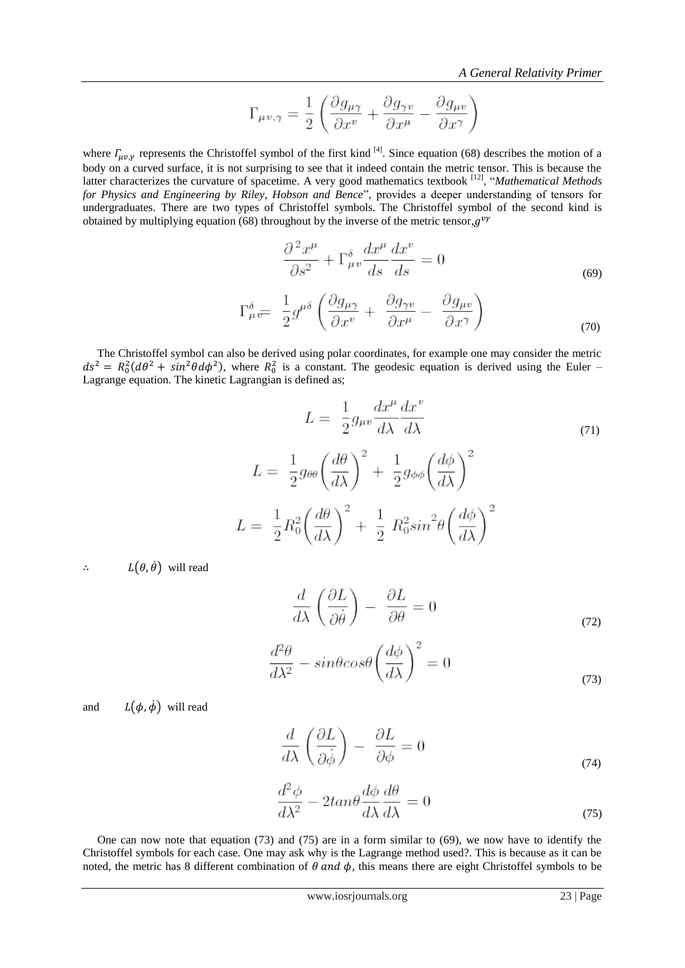$$
\Gamma_{\mu v, \gamma} = \frac{1}{2} \left( \frac{\partial g_{\mu \gamma}}{\partial x^v} + \frac{\partial g_{\gamma v}}{\partial x^\mu} - \frac{\partial g_{\mu v}}{\partial x^\gamma} \right)
$$

where  $\Gamma_{\mu\nu,\nu}$  represents the Christoffel symbol of the first kind <sup>[4]</sup>. Since equation (68) describes the motion of a body on a curved surface, it is not surprising to see that it indeed contain the metric tensor. This is because the latter characterizes the curvature of spacetime. A very good mathematics textbook [12], "*Mathematical Methods for Physics and Engineering by Riley, Hobson and Bence*", provides a deeper understanding of tensors for undergraduates. There are two types of Christoffel symbols. The Christoffel symbol of the second kind is obtained by multiplying equation (68) throughout by the inverse of the metric tensor,  $g^v$ 

$$
\frac{\partial^2 x^{\mu}}{\partial s^2} + \Gamma^{\delta}_{\mu v} \frac{dx^{\mu}}{ds} \frac{dx^v}{ds} = 0
$$
\n
$$
\Gamma^{\delta}_{\mu v} = \frac{1}{2} g^{\mu \delta} \left( \frac{\partial g_{\mu \gamma}}{\partial x^v} + \frac{\partial g_{\gamma v}}{\partial x^{\mu}} - \frac{\partial g_{\mu v}}{\partial x^{\gamma}} \right)
$$
\n(69)

 The Christoffel symbol can also be derived using polar coordinates, for example one may consider the metric  $ds^2 = R_0^2(d\theta^2 + sin^2\theta d\phi^2)$ , where  $R_0^2$  is a constant. The geodesic equation is derived using the Euler – Lagrange equation. The kinetic Lagrangian is defined as;

$$
L = \frac{1}{2} g_{\mu\nu} \frac{dx^{\mu}}{d\lambda} \frac{dx^{\nu}}{d\lambda}
$$
  
\n
$$
L = \frac{1}{2} g_{\theta\theta} \left(\frac{d\theta}{d\lambda}\right)^2 + \frac{1}{2} g_{\phi\phi} \left(\frac{d\phi}{d\lambda}\right)^2
$$
  
\n
$$
L = \frac{1}{2} R_0^2 \left(\frac{d\theta}{d\lambda}\right)^2 + \frac{1}{2} R_0^2 \sin^2\theta \left(\frac{d\phi}{d\lambda}\right)^2
$$
 (71)

 $\therefore$   $L(\theta, \dot{\theta})$  will read

 $L$ 

$$
\frac{d}{d\lambda} \left( \frac{\partial L}{\partial \dot{\theta}} \right) - \frac{\partial L}{\partial \theta} = 0 \tag{72}
$$

$$
\frac{d^2\theta}{d\lambda^2} - sin\theta cos\theta \left(\frac{d\phi}{d\lambda}\right)^2 = 0
$$
\n(73)

and  $L(\phi, \dot{\phi})$  will read

$$
\frac{d}{d\lambda} \left( \frac{\partial L}{\partial \dot{\phi}} \right) - \frac{\partial L}{\partial \phi} = 0 \tag{74}
$$

$$
\frac{d^2\phi}{d\lambda^2} - 2tan\theta \frac{d\phi}{d\lambda} \frac{d\theta}{d\lambda} = 0
$$
\n(75)

 One can now note that equation (73) and (75) are in a form similar to (69), we now have to identify the Christoffel symbols for each case. One may ask why is the Lagrange method used?. This is because as it can be noted, the metric has 8 different combination of  $\theta$  and  $\phi$ , this means there are eight Christoffel symbols to be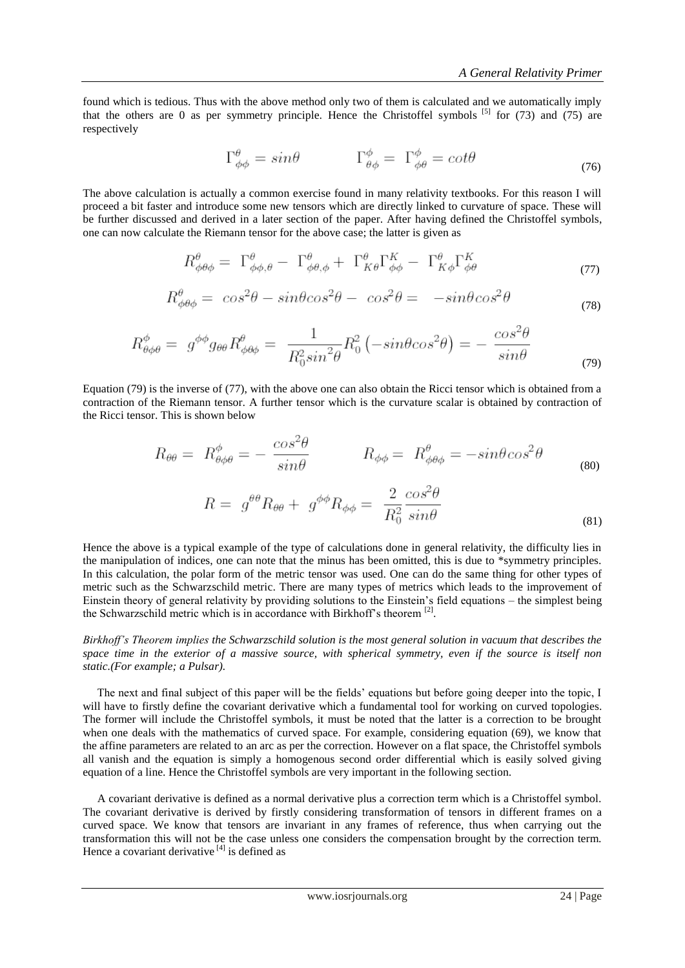found which is tedious. Thus with the above method only two of them is calculated and we automatically imply that the others are 0 as per symmetry principle. Hence the Christoffel symbols  $^{[5]}$  for (73) and (75) are respectively

$$
\Gamma^{\theta}_{\phi\phi} = \sin\theta \qquad \qquad \Gamma^{\phi}_{\theta\phi} = \Gamma^{\phi}_{\phi\theta} = \cot\theta \tag{76}
$$

The above calculation is actually a common exercise found in many relativity textbooks. For this reason I will proceed a bit faster and introduce some new tensors which are directly linked to curvature of space. These will be further discussed and derived in a later section of the paper. After having defined the Christoffel symbols, one can now calculate the Riemann tensor for the above case; the latter is given as

$$
R^{\theta}_{\phi\theta\phi} = \Gamma^{\theta}_{\phi\phi,\theta} - \Gamma^{\theta}_{\phi\theta,\phi} + \Gamma^{\theta}_{K\theta}\Gamma^K_{\phi\phi} - \Gamma^{\theta}_{K\phi}\Gamma^K_{\phi\theta} \tag{77}
$$

$$
R^{\theta}_{\phi\theta\phi} = \cos^2\theta - \sin\theta\cos^2\theta - \cos^2\theta = -\sin\theta\cos^2\theta \tag{78}
$$

$$
R^{\phi}_{\theta\phi\theta} = g^{\phi\phi}g_{\theta\theta}R^{\theta}_{\phi\theta\phi} = \frac{1}{R_0^2\sin^2\theta}R_0^2(-\sin\theta\cos^2\theta) = -\frac{\cos^2\theta}{\sin\theta}
$$
(79)

Equation (79) is the inverse of (77), with the above one can also obtain the Ricci tensor which is obtained from a contraction of the Riemann tensor. A further tensor which is the curvature scalar is obtained by contraction of the Ricci tensor. This is shown below

$$
R_{\theta\theta} = R^{\phi}_{\theta\phi\theta} = -\frac{\cos^2\theta}{\sin\theta} \qquad R_{\phi\phi} = R^{\theta}_{\phi\theta\phi} = -\sin\theta\cos^2\theta
$$
\n
$$
R = g^{\theta\theta}R_{\theta\theta} + g^{\phi\phi}R_{\phi\phi} = \frac{2}{R_0^2}\frac{\cos^2\theta}{\sin\theta}
$$
\n(80)

Hence the above is a typical example of the type of calculations done in general relativity, the difficulty lies in the manipulation of indices, one can note that the minus has been omitted, this is due to \*symmetry principles. In this calculation, the polar form of the metric tensor was used. One can do the same thing for other types of metric such as the Schwarzschild metric. There are many types of metrics which leads to the improvement of Einstein theory of general relativity by providing solutions to the Einstein"s field equations – the simplest being the Schwarzschild metric which is in accordance with Birkhoff's theorem<sup>[2]</sup>.

*Birkhoff's Theorem implies the Schwarzschild solution is the most general solution in vacuum that describes the space time in the exterior of a massive source, with spherical symmetry, even if the source is itself non static.(For example; a Pulsar).*

The next and final subject of this paper will be the fields' equations but before going deeper into the topic, I will have to firstly define the covariant derivative which a fundamental tool for working on curved topologies. The former will include the Christoffel symbols, it must be noted that the latter is a correction to be brought when one deals with the mathematics of curved space. For example, considering equation (69), we know that the affine parameters are related to an arc as per the correction. However on a flat space, the Christoffel symbols all vanish and the equation is simply a homogenous second order differential which is easily solved giving equation of a line. Hence the Christoffel symbols are very important in the following section.

 A covariant derivative is defined as a normal derivative plus a correction term which is a Christoffel symbol. The covariant derivative is derived by firstly considering transformation of tensors in different frames on a curved space. We know that tensors are invariant in any frames of reference, thus when carrying out the transformation this will not be the case unless one considers the compensation brought by the correction term. Hence a covariant derivative  $^{[4]}$  is defined as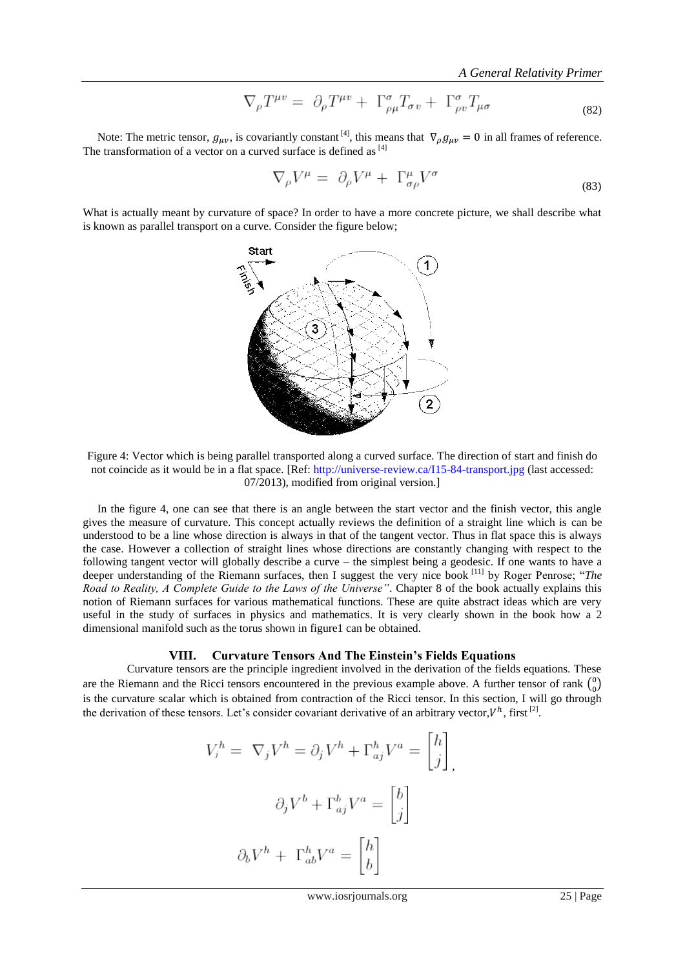*A General Relativity Primer*

$$
\nabla_{\rho} T^{\mu v} = \partial_{\rho} T^{\mu v} + \Gamma^{\sigma}_{\rho \mu} T_{\sigma v} + \Gamma^{\sigma}_{\rho v} T_{\mu \sigma} \tag{82}
$$

Note: The metric tensor,  $g_{\mu\nu}$ , is covariantly constant <sup>[4]</sup>, this means that  $\nabla_{\rho} g_{\mu\nu} = 0$  in all frames of reference. The transformation of a vector on a curved surface is defined as [4]

$$
\nabla_{\rho}V^{\mu} = \partial_{\rho}V^{\mu} + \Gamma^{\mu}_{\sigma\rho}V^{\sigma} \tag{83}
$$

What is actually meant by curvature of space? In order to have a more concrete picture, we shall describe what is known as parallel transport on a curve. Consider the figure below;



Figure 4: Vector which is being parallel transported along a curved surface. The direction of start and finish do not coincide as it would be in a flat space. [Ref[: http://universe-review.ca/I15-84-transport.jpg](http://universe-review.ca/I15-84-transport.jpg) (last accessed: 07/2013), modified from original version.]

 In the figure 4, one can see that there is an angle between the start vector and the finish vector, this angle gives the measure of curvature. This concept actually reviews the definition of a straight line which is can be understood to be a line whose direction is always in that of the tangent vector. Thus in flat space this is always the case. However a collection of straight lines whose directions are constantly changing with respect to the following tangent vector will globally describe a curve – the simplest being a geodesic. If one wants to have a deeper understanding of the Riemann surfaces, then I suggest the very nice book [11] by Roger Penrose; "*The Road to Reality, A Complete Guide to the Laws of the Universe"*. Chapter 8 of the book actually explains this notion of Riemann surfaces for various mathematical functions. These are quite abstract ideas which are very useful in the study of surfaces in physics and mathematics. It is very clearly shown in the book how a 2 dimensional manifold such as the torus shown in figure1 can be obtained.

## **VIII. Curvature Tensors And The Einstein's Fields Equations**

 Curvature tensors are the principle ingredient involved in the derivation of the fields equations. These are the Riemann and the Ricci tensors encountered in the previous example above. A further tensor of rank  $\binom{0}{0}$  $\binom{0}{0}$ is the curvature scalar which is obtained from contraction of the Ricci tensor. In this section, I will go through the derivation of these tensors. Let's consider covariant derivative of an arbitrary vector,  $V^h$ , first<sup>[2]</sup>.

$$
V_j^h = \nabla_j V^h = \partial_j V^h + \Gamma_{aj}^h V^a = \begin{bmatrix} h \\ j \end{bmatrix},
$$

$$
\partial_j V^b + \Gamma_{aj}^b V^a = \begin{bmatrix} b \\ j \end{bmatrix}
$$

$$
\partial_b V^h + \Gamma_{ab}^h V^a = \begin{bmatrix} h \\ b \end{bmatrix}
$$

J

www.iosrjournals.org 25 | Page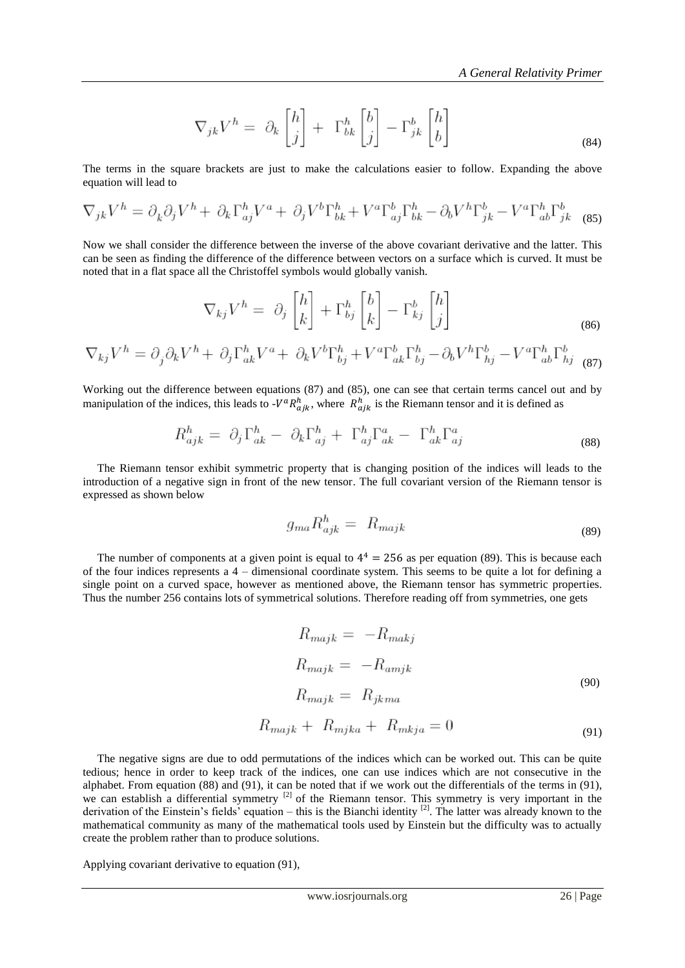$$
\nabla_{jk} V^h = \partial_k \begin{bmatrix} h \\ j \end{bmatrix} + \Gamma^h_{bk} \begin{bmatrix} b \\ j \end{bmatrix} - \Gamma^b_{jk} \begin{bmatrix} h \\ b \end{bmatrix}
$$
\n(84)

The terms in the square brackets are just to make the calculations easier to follow. Expanding the above equation will lead to

$$
\nabla_{jk}V^h = \partial_k \partial_j V^h + \partial_k \Gamma^h_{aj} V^a + \partial_j V^b \Gamma^h_{bk} + V^a \Gamma^b_{aj} \Gamma^h_{bk} - \partial_b V^h \Gamma^b_{jk} - V^a \Gamma^h_{ab} \Gamma^b_{jk} \tag{85}
$$

Now we shall consider the difference between the inverse of the above covariant derivative and the latter. This can be seen as finding the difference of the difference between vectors on a surface which is curved. It must be noted that in a flat space all the Christoffel symbols would globally vanish.

$$
\nabla_{kj} V^h = \partial_j \begin{bmatrix} h \\ k \end{bmatrix} + \Gamma^h_{bj} \begin{bmatrix} b \\ k \end{bmatrix} - \Gamma^b_{kj} \begin{bmatrix} h \\ j \end{bmatrix}
$$
\n(86)

$$
\nabla_{kj}V^h = \partial_j \partial_k V^h + \partial_j \Gamma^h_{ak} V^a + \partial_k V^b \Gamma^h_{bj} + V^a \Gamma^b_{ak} \Gamma^h_{bj} - \partial_b V^h \Gamma^b_{hj} - V^a \Gamma^h_{ab} \Gamma^b_{hj}
$$
 (87)

Working out the difference between equations (87) and (85), one can see that certain terms cancel out and by manipulation of the indices, this leads to  $-V^a R^h_{aik}$ , where  $R^h_{aik}$  is the Riemann tensor and it is defined as

$$
R_{ajk}^h = \partial_j \Gamma_{ak}^h - \partial_k \Gamma_{aj}^h + \Gamma_{aj}^h \Gamma_{ak}^a - \Gamma_{ak}^h \Gamma_{aj}^a \tag{88}
$$

 The Riemann tensor exhibit symmetric property that is changing position of the indices will leads to the introduction of a negative sign in front of the new tensor. The full covariant version of the Riemann tensor is expressed as shown below

$$
g_{ma}R_{ajk}^h = R_{majk} \tag{89}
$$

The number of components at a given point is equal to  $4^4 = 256$  as per equation (89). This is because each of the four indices represents a 4 – dimensional coordinate system. This seems to be quite a lot for defining a single point on a curved space, however as mentioned above, the Riemann tensor has symmetric properties. Thus the number 256 contains lots of symmetrical solutions. Therefore reading off from symmetries, one gets

$$
R_{majk} = -R_{makj}
$$
  
\n
$$
R_{majk} = -R_{amjk}
$$
  
\n
$$
R_{majk} = R_{jkma}
$$
\n(90)

 $R_{majk} + R_{mjka} + R_{mkja} = 0$  (91)

 The negative signs are due to odd permutations of the indices which can be worked out. This can be quite tedious; hence in order to keep track of the indices, one can use indices which are not consecutive in the alphabet. From equation (88) and (91), it can be noted that if we work out the differentials of the terms in (91), we can establish a differential symmetry <sup>[2]</sup> of the Riemann tensor. This symmetry is very important in the derivation of the Einstein's fields' equation – this is the Bianchi identity  $^{[2]}$ . The latter was already known to the mathematical community as many of the mathematical tools used by Einstein but the difficulty was to actually create the problem rather than to produce solutions.

Applying covariant derivative to equation (91),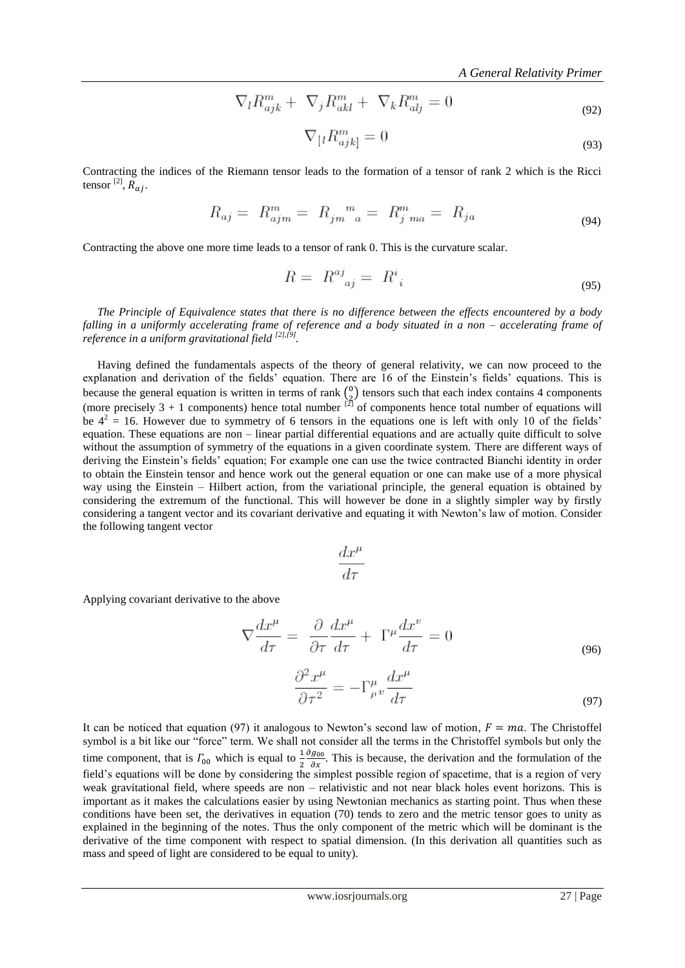$$
\nabla_l R_{ajk}^m + \nabla_j R_{akl}^m + \nabla_k R_{alj}^m = 0
$$
\n(92)

$$
\nabla_{\left[l} R_{ajk\right]}^m = 0\tag{93}
$$

Contracting the indices of the Riemann tensor leads to the formation of a tensor of rank 2 which is the Ricci tensor  $^{[2]}$ ,  $\overline{R}_{ai}$ .

$$
R_{aj} = R_{ajm}^m = R_{jm}^m{}_{a} = R_{j\,ma}^m = R_{ja} \tag{94}
$$

Contracting the above one more time leads to a tensor of rank 0. This is the curvature scalar.

$$
R = R^{aj}_{\ \ aj} = R^i_{\ \ i} \tag{95}
$$

 *The Principle of Equivalence states that there is no difference between the effects encountered by a body falling in a uniformly accelerating frame of reference and a body situated in a non – accelerating frame of reference in a uniform gravitational field [2],[9] .*

 Having defined the fundamentals aspects of the theory of general relativity, we can now proceed to the explanation and derivation of the fields' equation. There are 16 of the Einstein's fields' equations. This is because the general equation is written in terms of rank  $\binom{0}{2}$  $_{2}^{0}$ ) tensors such that each index contains 4 components (more precisely  $3 + 1$  components) hence total number  $^{[2]}$  of components hence total number of equations will be  $4^2 = 16$ . However due to symmetry of 6 tensors in the equations one is left with only 10 of the fields' equation. These equations are non – linear partial differential equations and are actually quite difficult to solve without the assumption of symmetry of the equations in a given coordinate system. There are different ways of deriving the Einstein"s fields" equation; For example one can use the twice contracted Bianchi identity in order to obtain the Einstein tensor and hence work out the general equation or one can make use of a more physical way using the Einstein – Hilbert action, from the variational principle, the general equation is obtained by considering the extremum of the functional. This will however be done in a slightly simpler way by firstly considering a tangent vector and its covariant derivative and equating it with Newton's law of motion. Consider the following tangent vector

$$
\frac{dx^{\mu}}{d\tau}
$$

Applying covariant derivative to the above

$$
\nabla \frac{dx^{\mu}}{d\tau} = \frac{\partial}{\partial \tau} \frac{dx^{\mu}}{d\tau} + \Gamma^{\mu} \frac{dx^{\nu}}{d\tau} = 0
$$
\n(96)

$$
\frac{\partial^2 x^{\mu}}{\partial \tau^2} = -\Gamma^{\mu}_{\rho} v \frac{dx^{\mu}}{d\tau}
$$
\n(97)

It can be noticed that equation (97) it analogous to Newton's second law of motion,  $F = ma$ . The Christoffel symbol is a bit like our "force" term. We shall not consider all the terms in the Christoffel symbols but only the time component, that is  $\Gamma_{00}$  which is equal to  $\frac{1}{2}$  $\frac{\partial g_{00}}{\partial x}$ . This is because, the derivation and the formulation of the field"s equations will be done by considering the simplest possible region of spacetime, that is a region of very weak gravitational field, where speeds are non – relativistic and not near black holes event horizons. This is important as it makes the calculations easier by using Newtonian mechanics as starting point. Thus when these conditions have been set, the derivatives in equation (70) tends to zero and the metric tensor goes to unity as explained in the beginning of the notes. Thus the only component of the metric which will be dominant is the derivative of the time component with respect to spatial dimension. (In this derivation all quantities such as mass and speed of light are considered to be equal to unity).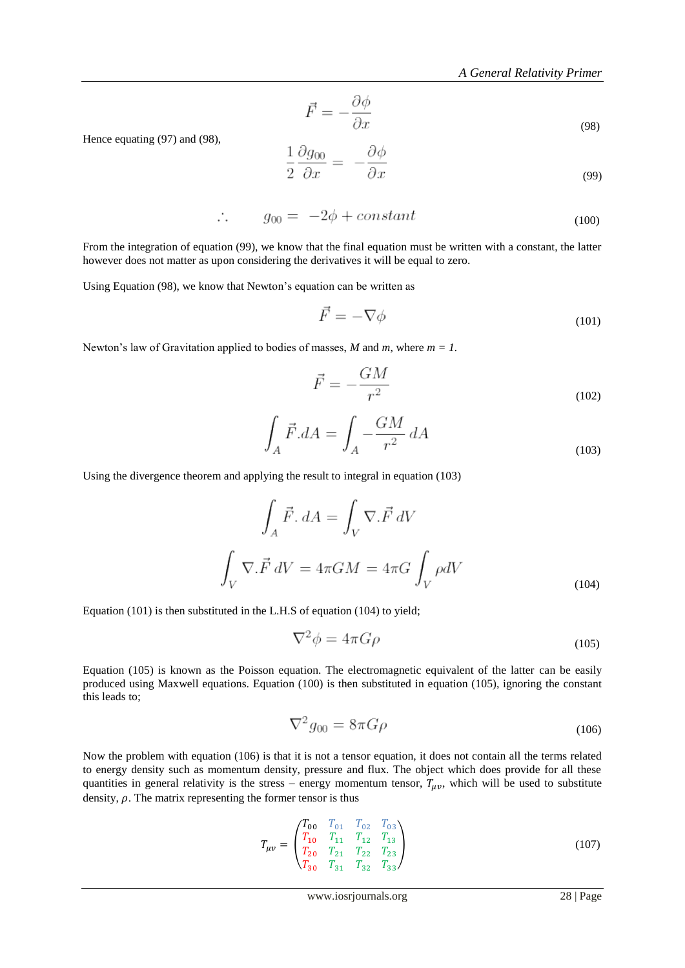$$
\vec{F} = -\frac{\partial \phi}{\partial x} \tag{98}
$$

Hence equating (97) and (98),

$$
\frac{1}{2} \frac{\partial g_{00}}{\partial x} = -\frac{\partial \phi}{\partial x} \tag{99}
$$

$$
\therefore \qquad g_{00} = -2\phi + constant \tag{100}
$$

From the integration of equation (99), we know that the final equation must be written with a constant, the latter however does not matter as upon considering the derivatives it will be equal to zero.

Using Equation (98), we know that Newton's equation can be written as

$$
\vec{F} = -\nabla\phi\tag{101}
$$

Newton"s law of Gravitation applied to bodies of masses, *M* and *m*, where *m = 1.*

$$
\vec{F} = -\frac{GM}{r^2} \tag{102}
$$

$$
\int_{A} \vec{F} \cdot dA = \int_{A} -\frac{GM}{r^2} dA \tag{103}
$$

Using the divergence theorem and applying the result to integral in equation (103)

$$
\int_{A} \vec{F} \cdot dA = \int_{V} \nabla \cdot \vec{F} \, dV
$$
\n
$$
\int_{V} \nabla \cdot \vec{F} \, dV = 4\pi GM = 4\pi G \int_{V} \rho dV
$$
\n(104)

Equation (101) is then substituted in the L.H.S of equation (104) to yield;

$$
\nabla^2 \phi = 4\pi G \rho \tag{105}
$$

Equation (105) is known as the Poisson equation. The electromagnetic equivalent of the latter can be easily produced using Maxwell equations. Equation (100) is then substituted in equation (105), ignoring the constant this leads to;

$$
\nabla^2 g_{00} = 8\pi G \rho \tag{106}
$$

Now the problem with equation (106) is that it is not a tensor equation, it does not contain all the terms related to energy density such as momentum density, pressure and flux. The object which does provide for all these quantities in general relativity is the stress – energy momentum tensor,  $T_{\mu\nu}$ , which will be used to substitute density,  $\rho$ . The matrix representing the former tensor is thus

$$
T_{\mu\nu} = \begin{pmatrix} T_{00} & T_{01} & T_{02} & T_{03} \\ T_{10} & T_{11} & T_{12} & T_{13} \\ T_{20} & T_{21} & T_{22} & T_{23} \\ T_{30} & T_{31} & T_{32} & T_{33} \end{pmatrix} \tag{107}
$$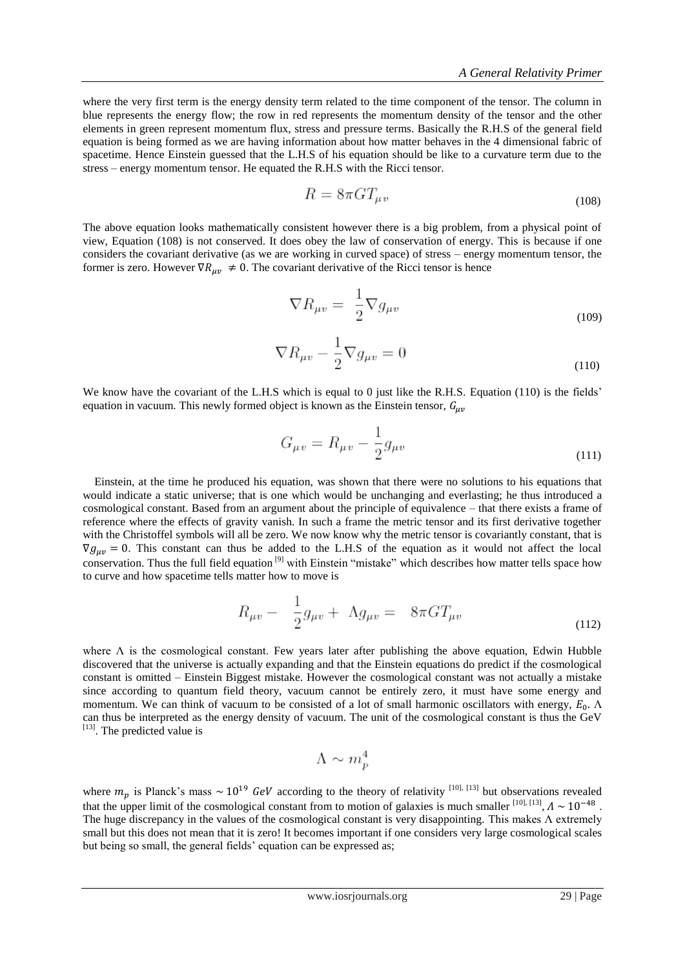where the very first term is the energy density term related to the time component of the tensor. The column in blue represents the energy flow; the row in red represents the momentum density of the tensor and the other elements in green represent momentum flux, stress and pressure terms. Basically the R.H.S of the general field equation is being formed as we are having information about how matter behaves in the 4 dimensional fabric of spacetime. Hence Einstein guessed that the L.H.S of his equation should be like to a curvature term due to the stress – energy momentum tensor. He equated the R.H.S with the Ricci tensor.

$$
R = 8\pi G T_{\mu\nu} \tag{108}
$$

The above equation looks mathematically consistent however there is a big problem, from a physical point of view, Equation (108) is not conserved. It does obey the law of conservation of energy. This is because if one considers the covariant derivative (as we are working in curved space) of stress – energy momentum tensor, the former is zero. However  $\nabla R_{\mu\nu} \neq 0$ . The covariant derivative of the Ricci tensor is hence

$$
\nabla R_{\mu v} = \frac{1}{2} \nabla g_{\mu v} \tag{109}
$$

$$
\nabla R_{\mu v} - \frac{1}{2} \nabla g_{\mu v} = 0 \tag{110}
$$

We know have the covariant of the L.H.S which is equal to 0 just like the R.H.S. Equation (110) is the fields' equation in vacuum. This newly formed object is known as the Einstein tensor,  $G_{\mu\nu}$ 

$$
G_{\mu\nu} = R_{\mu\nu} - \frac{1}{2}g_{\mu\nu} \tag{111}
$$

 Einstein, at the time he produced his equation, was shown that there were no solutions to his equations that would indicate a static universe; that is one which would be unchanging and everlasting; he thus introduced a cosmological constant. Based from an argument about the principle of equivalence – that there exists a frame of reference where the effects of gravity vanish. In such a frame the metric tensor and its first derivative together with the Christoffel symbols will all be zero. We now know why the metric tensor is covariantly constant, that is  $\nabla g_{\mu\nu} = 0$ . This constant can thus be added to the L.H.S of the equation as it would not affect the local conservation. Thus the full field equation [9] with Einstein "mistake" which describes how matter tells space how to curve and how spacetime tells matter how to move is

$$
R_{\mu v} - \frac{1}{2}g_{\mu v} + \Lambda g_{\mu v} = 8\pi G T_{\mu v}
$$
\n(112)

where  $\Lambda$  is the cosmological constant. Few years later after publishing the above equation, Edwin Hubble discovered that the universe is actually expanding and that the Einstein equations do predict if the cosmological constant is omitted – Einstein Biggest mistake. However the cosmological constant was not actually a mistake since according to quantum field theory, vacuum cannot be entirely zero, it must have some energy and momentum. We can think of vacuum to be consisted of a lot of small harmonic oscillators with energy,  $E_0$ .  $\Lambda$ can thus be interpreted as the energy density of vacuum. The unit of the cosmological constant is thus the GeV [13] . The predicted value is

$$
\Lambda \sim m_p^4
$$

where  $m_p$  is Planck's mass ~ 10<sup>19</sup> GeV according to the theory of relativity <sup>[10], [13]</sup> but observations revealed that the upper limit of the cosmological constant from to motion of galaxies is much smaller  $^{[10], [13]}$ ,  $\Lambda \sim 10^{-48}$ . The huge discrepancy in the values of the cosmological constant is very disappointing. This makes  $\Lambda$  extremely small but this does not mean that it is zero! It becomes important if one considers very large cosmological scales but being so small, the general fields" equation can be expressed as;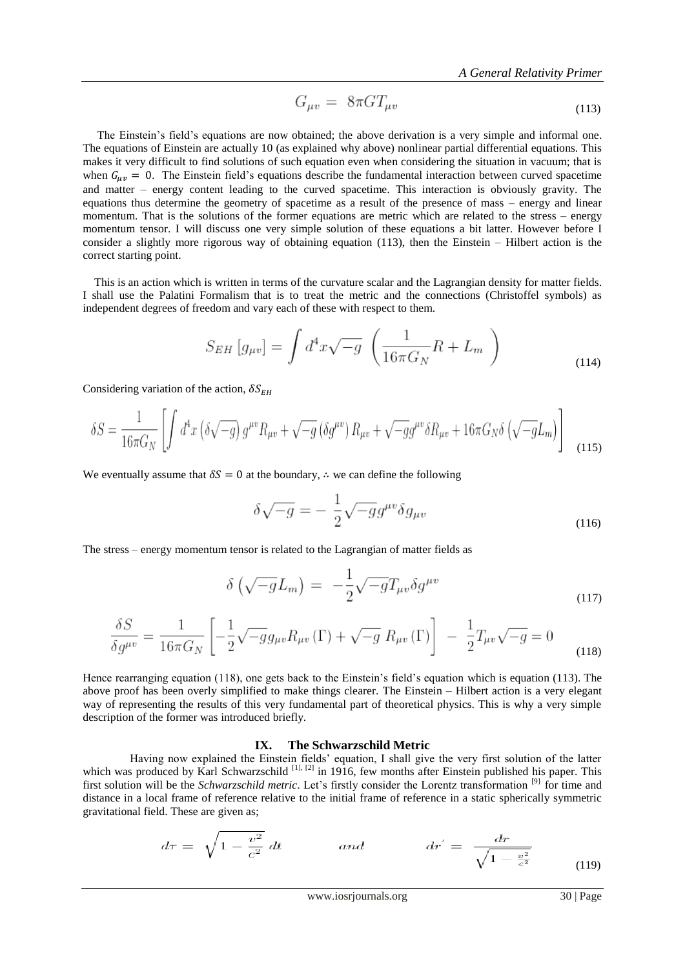$$
G_{\mu\nu} = 8\pi G T_{\mu\nu} \tag{113}
$$

The Einstein's field's equations are now obtained; the above derivation is a very simple and informal one. The equations of Einstein are actually 10 (as explained why above) nonlinear partial differential equations. This makes it very difficult to find solutions of such equation even when considering the situation in vacuum; that is when  $G_{\mu\nu} = 0$ . The Einstein field's equations describe the fundamental interaction between curved spacetime and matter – energy content leading to the curved spacetime. This interaction is obviously gravity. The equations thus determine the geometry of spacetime as a result of the presence of mass – energy and linear momentum. That is the solutions of the former equations are metric which are related to the stress – energy momentum tensor. I will discuss one very simple solution of these equations a bit latter. However before I consider a slightly more rigorous way of obtaining equation (113), then the Einstein – Hilbert action is the correct starting point.

 This is an action which is written in terms of the curvature scalar and the Lagrangian density for matter fields. I shall use the Palatini Formalism that is to treat the metric and the connections (Christoffel symbols) as independent degrees of freedom and vary each of these with respect to them.

$$
S_{EH}[g_{\mu\nu}] = \int d^4x \sqrt{-g} \left( \frac{1}{16\pi G_N} R + L_m \right)
$$
\n(114)

Considering variation of the action,  $\delta S_{EH}$ 

$$
\delta S = \frac{1}{16\pi G_N} \left[ \int d^4x \left( \delta \sqrt{-g} \right) g^{\mu v} R_{\mu v} + \sqrt{-g} \left( \delta g^{\mu v} \right) R_{\mu v} + \sqrt{-g} g^{\mu v} \delta R_{\mu v} + 16\pi G_N \delta \left( \sqrt{-g} L_m \right) \right]
$$
(115)

We eventually assume that  $\delta S = 0$  at the boundary,  $\therefore$  we can define the following

$$
\delta\sqrt{-g} = -\frac{1}{2}\sqrt{-g}g^{\mu\nu}\delta g_{\mu\nu} \tag{116}
$$

The stress – energy momentum tensor is related to the Lagrangian of matter fields as

$$
\delta\left(\sqrt{-g}L_m\right) = -\frac{1}{2}\sqrt{-g}T_{\mu\nu}\delta g^{\mu\nu} \tag{117}
$$

$$
\frac{\delta S}{\delta g^{\mu\nu}} = \frac{1}{16\pi G_N} \left[ -\frac{1}{2} \sqrt{-g} g_{\mu\nu} R_{\mu\nu} (\Gamma) + \sqrt{-g} R_{\mu\nu} (\Gamma) \right] - \frac{1}{2} T_{\mu\nu} \sqrt{-g} = 0 \tag{118}
$$

Hence rearranging equation (118), one gets back to the Einstein"s field"s equation which is equation (113). The above proof has been overly simplified to make things clearer. The Einstein – Hilbert action is a very elegant way of representing the results of this very fundamental part of theoretical physics. This is why a very simple description of the former was introduced briefly.

#### **IX. The Schwarzschild Metric**

 Having now explained the Einstein fields" equation, I shall give the very first solution of the latter which was produced by Karl Schwarzschild <sup>[1], [2]</sup> in 1916, few months after Einstein published his paper. This first solution will be the *Schwarzschild metric*. Let's firstly consider the Lorentz transformation <sup>[9]</sup> for time and distance in a local frame of reference relative to the initial frame of reference in a static spherically symmetric gravitational field. These are given as;

$$
d\tau = \sqrt{1 - \frac{v^2}{c^2}} dt \qquad and \qquad dr' = \frac{dr}{\sqrt{1 - \frac{v^2}{c^2}}} \qquad (119)
$$